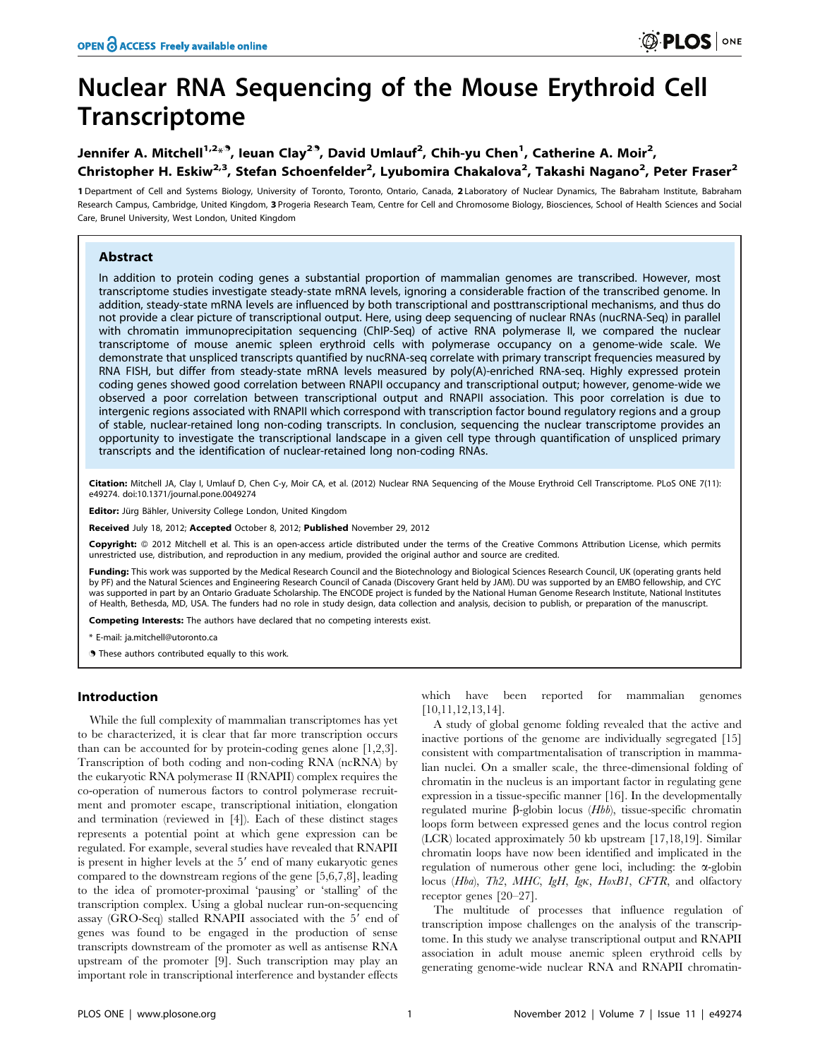# Nuclear RNA Sequencing of the Mouse Erythroid Cell **Transcriptome**

## Jennifer A. Mitchell<sup>1,2</sup>\*<sup>9</sup>, leuan Clay<sup>29</sup>, David Umlauf<sup>2</sup>, Chih-yu Chen<sup>1</sup>, Catherine A. Moir<sup>2</sup>, Christopher H. Eskiw<sup>2,3</sup>, Stefan Schoenfelder<sup>2</sup>, Lyubomira Chakalova<sup>2</sup>, Takashi Nagano<sup>2</sup>, Peter Fraser<sup>2</sup>

1 Department of Cell and Systems Biology, University of Toronto, Toronto, Ontario, Canada, 2 Laboratory of Nuclear Dynamics, The Babraham Institute, Babraham Research Campus, Cambridge, United Kingdom, 3 Progeria Research Team, Centre for Cell and Chromosome Biology, Biosciences, School of Health Sciences and Social Care, Brunel University, West London, United Kingdom

## Abstract

In addition to protein coding genes a substantial proportion of mammalian genomes are transcribed. However, most transcriptome studies investigate steady-state mRNA levels, ignoring a considerable fraction of the transcribed genome. In addition, steady-state mRNA levels are influenced by both transcriptional and posttranscriptional mechanisms, and thus do not provide a clear picture of transcriptional output. Here, using deep sequencing of nuclear RNAs (nucRNA-Seq) in parallel with chromatin immunoprecipitation sequencing (ChIP-Seq) of active RNA polymerase II, we compared the nuclear transcriptome of mouse anemic spleen erythroid cells with polymerase occupancy on a genome-wide scale. We demonstrate that unspliced transcripts quantified by nucRNA-seq correlate with primary transcript frequencies measured by RNA FISH, but differ from steady-state mRNA levels measured by poly(A)-enriched RNA-seq. Highly expressed protein coding genes showed good correlation between RNAPII occupancy and transcriptional output; however, genome-wide we observed a poor correlation between transcriptional output and RNAPII association. This poor correlation is due to intergenic regions associated with RNAPII which correspond with transcription factor bound regulatory regions and a group of stable, nuclear-retained long non-coding transcripts. In conclusion, sequencing the nuclear transcriptome provides an opportunity to investigate the transcriptional landscape in a given cell type through quantification of unspliced primary transcripts and the identification of nuclear-retained long non-coding RNAs.

Citation: Mitchell JA, Clay I, Umlauf D, Chen C-y, Moir CA, et al. (2012) Nuclear RNA Sequencing of the Mouse Erythroid Cell Transcriptome. PLoS ONE 7(11): e49274. doi:10.1371/journal.pone.0049274

Editor: Jürg Bähler, University College London, United Kingdom

Received July 18, 2012; Accepted October 8, 2012; Published November 29, 2012

Copyright: © 2012 Mitchell et al. This is an open-access article distributed under the terms of the Creative Commons Attribution License, which permits unrestricted use, distribution, and reproduction in any medium, provided the original author and source are credited.

Funding: This work was supported by the Medical Research Council and the Biotechnology and Biological Sciences Research Council, UK (operating grants held by PF) and the Natural Sciences and Engineering Research Council of Canada (Discovery Grant held by JAM). DU was supported by an EMBO fellowship, and CYC was supported in part by an Ontario Graduate Scholarship. The ENCODE project is funded by the National Human Genome Research Institute, National Institutes of Health, Bethesda, MD, USA. The funders had no role in study design, data collection and analysis, decision to publish, or preparation of the manuscript.

Competing Interests: The authors have declared that no competing interests exist.

\* E-mail: ja.mitchell@utoronto.ca

**.** These authors contributed equally to this work.

## Introduction

While the full complexity of mammalian transcriptomes has yet to be characterized, it is clear that far more transcription occurs than can be accounted for by protein-coding genes alone [1,2,3]. Transcription of both coding and non-coding RNA (ncRNA) by the eukaryotic RNA polymerase II (RNAPII) complex requires the co-operation of numerous factors to control polymerase recruitment and promoter escape, transcriptional initiation, elongation and termination (reviewed in [4]). Each of these distinct stages represents a potential point at which gene expression can be regulated. For example, several studies have revealed that RNAPII is present in higher levels at the 5' end of many eukaryotic genes compared to the downstream regions of the gene [5,6,7,8], leading to the idea of promoter-proximal 'pausing' or 'stalling' of the transcription complex. Using a global nuclear run-on-sequencing assay (GRO-Seq) stalled RNAPII associated with the 5' end of genes was found to be engaged in the production of sense transcripts downstream of the promoter as well as antisense RNA upstream of the promoter [9]. Such transcription may play an important role in transcriptional interference and bystander effects

which have been reported for mammalian genomes [10,11,12,13,14].

A study of global genome folding revealed that the active and inactive portions of the genome are individually segregated [15] consistent with compartmentalisation of transcription in mammalian nuclei. On a smaller scale, the three-dimensional folding of chromatin in the nucleus is an important factor in regulating gene expression in a tissue-specific manner [16]. In the developmentally regulated murine  $\beta$ -globin locus (*Hbb*), tissue-specific chromatin loops form between expressed genes and the locus control region (LCR) located approximately 50 kb upstream [17,18,19]. Similar chromatin loops have now been identified and implicated in the regulation of numerous other gene loci, including: the  $\alpha$ -globin locus (Hba), Th2, MHC, IgH, IgK, HoxB1, CFTR, and olfactory receptor genes [20–27].

The multitude of processes that influence regulation of transcription impose challenges on the analysis of the transcriptome. In this study we analyse transcriptional output and RNAPII association in adult mouse anemic spleen erythroid cells by generating genome-wide nuclear RNA and RNAPII chromatin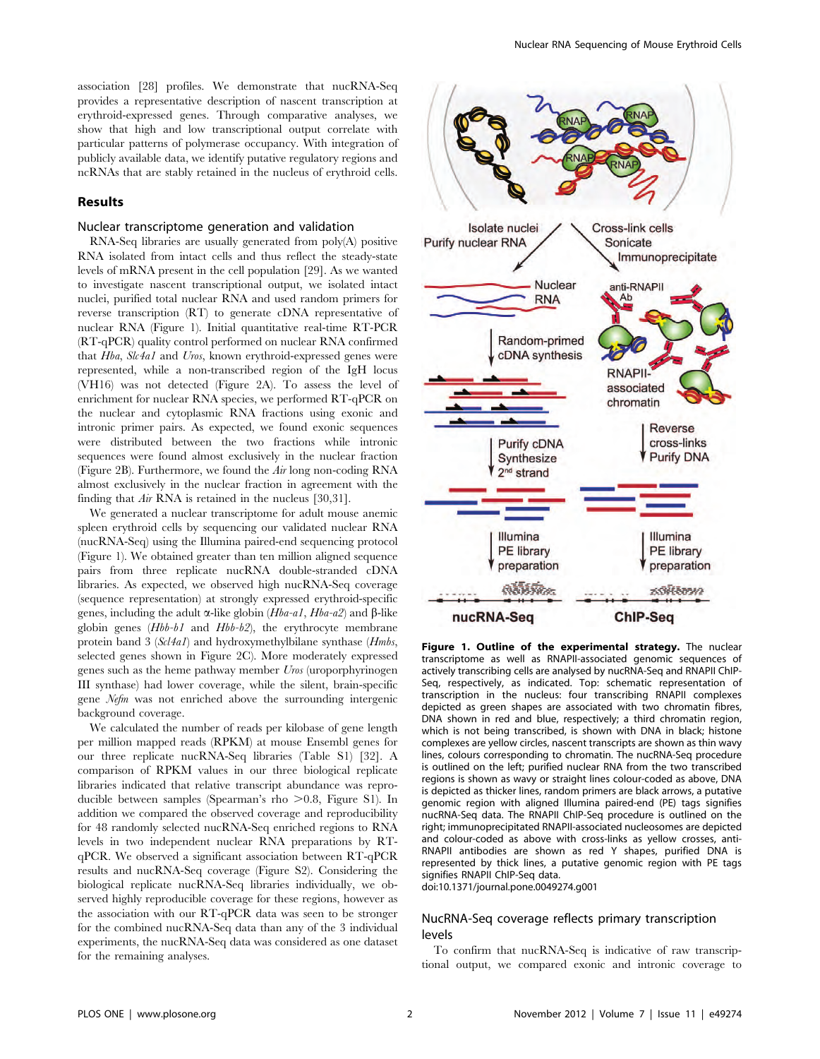association [28] profiles. We demonstrate that nucRNA-Seq provides a representative description of nascent transcription at erythroid-expressed genes. Through comparative analyses, we show that high and low transcriptional output correlate with particular patterns of polymerase occupancy. With integration of publicly available data, we identify putative regulatory regions and ncRNAs that are stably retained in the nucleus of erythroid cells.

## Results

## Nuclear transcriptome generation and validation

RNA-Seq libraries are usually generated from poly(A) positive RNA isolated from intact cells and thus reflect the steady-state levels of mRNA present in the cell population [29]. As we wanted to investigate nascent transcriptional output, we isolated intact nuclei, purified total nuclear RNA and used random primers for reverse transcription (RT) to generate cDNA representative of nuclear RNA (Figure 1). Initial quantitative real-time RT-PCR (RT-qPCR) quality control performed on nuclear RNA confirmed that Hba, Slc4a1 and Uros, known erythroid-expressed genes were represented, while a non-transcribed region of the IgH locus (VH16) was not detected (Figure 2A). To assess the level of enrichment for nuclear RNA species, we performed RT-qPCR on the nuclear and cytoplasmic RNA fractions using exonic and intronic primer pairs. As expected, we found exonic sequences were distributed between the two fractions while intronic sequences were found almost exclusively in the nuclear fraction (Figure 2B). Furthermore, we found the Air long non-coding RNA almost exclusively in the nuclear fraction in agreement with the finding that Air RNA is retained in the nucleus [30,31].

We generated a nuclear transcriptome for adult mouse anemic spleen erythroid cells by sequencing our validated nuclear RNA (nucRNA-Seq) using the Illumina paired-end sequencing protocol (Figure 1). We obtained greater than ten million aligned sequence pairs from three replicate nucRNA double-stranded cDNA libraries. As expected, we observed high nucRNA-Seq coverage (sequence representation) at strongly expressed erythroid-specific genes, including the adult  $\alpha$ -like globin (*Hba-a1*, *Hba-a2*) and  $\beta$ -like globin genes (Hbb-b1 and Hbb-b2), the erythrocyte membrane protein band 3 (Scl4a1) and hydroxymethylbilane synthase (Hmbs, selected genes shown in Figure 2C). More moderately expressed genes such as the heme pathway member Uros (uroporphyrinogen III synthase) had lower coverage, while the silent, brain-specific gene Nefm was not enriched above the surrounding intergenic background coverage.

We calculated the number of reads per kilobase of gene length per million mapped reads (RPKM) at mouse Ensembl genes for our three replicate nucRNA-Seq libraries (Table S1) [32]. A comparison of RPKM values in our three biological replicate libraries indicated that relative transcript abundance was reproducible between samples (Spearman's rho  $>0.8$ , Figure S1). In addition we compared the observed coverage and reproducibility for 48 randomly selected nucRNA-Seq enriched regions to RNA levels in two independent nuclear RNA preparations by RTqPCR. We observed a significant association between RT-qPCR results and nucRNA-Seq coverage (Figure S2). Considering the biological replicate nucRNA-Seq libraries individually, we observed highly reproducible coverage for these regions, however as the association with our RT-qPCR data was seen to be stronger for the combined nucRNA-Seq data than any of the 3 individual experiments, the nucRNA-Seq data was considered as one dataset for the remaining analyses.



Figure 1. Outline of the experimental strategy. The nuclear transcriptome as well as RNAPII-associated genomic sequences of actively transcribing cells are analysed by nucRNA-Seq and RNAPII ChIP-Seq, respectively, as indicated. Top: schematic representation of transcription in the nucleus: four transcribing RNAPII complexes depicted as green shapes are associated with two chromatin fibres, DNA shown in red and blue, respectively; a third chromatin region, which is not being transcribed, is shown with DNA in black; histone complexes are yellow circles, nascent transcripts are shown as thin wavy lines, colours corresponding to chromatin. The nucRNA-Seq procedure is outlined on the left; purified nuclear RNA from the two transcribed regions is shown as wavy or straight lines colour-coded as above, DNA is depicted as thicker lines, random primers are black arrows, a putative genomic region with aligned Illumina paired-end (PE) tags signifies nucRNA-Seq data. The RNAPII ChIP-Seq procedure is outlined on the right; immunoprecipitated RNAPII-associated nucleosomes are depicted and colour-coded as above with cross-links as yellow crosses, anti-RNAPII antibodies are shown as red Y shapes, purified DNA is represented by thick lines, a putative genomic region with PE tags signifies RNAPII ChIP-Seq data.

doi:10.1371/journal.pone.0049274.g001

## NucRNA-Seq coverage reflects primary transcription levels

To confirm that nucRNA-Seq is indicative of raw transcriptional output, we compared exonic and intronic coverage to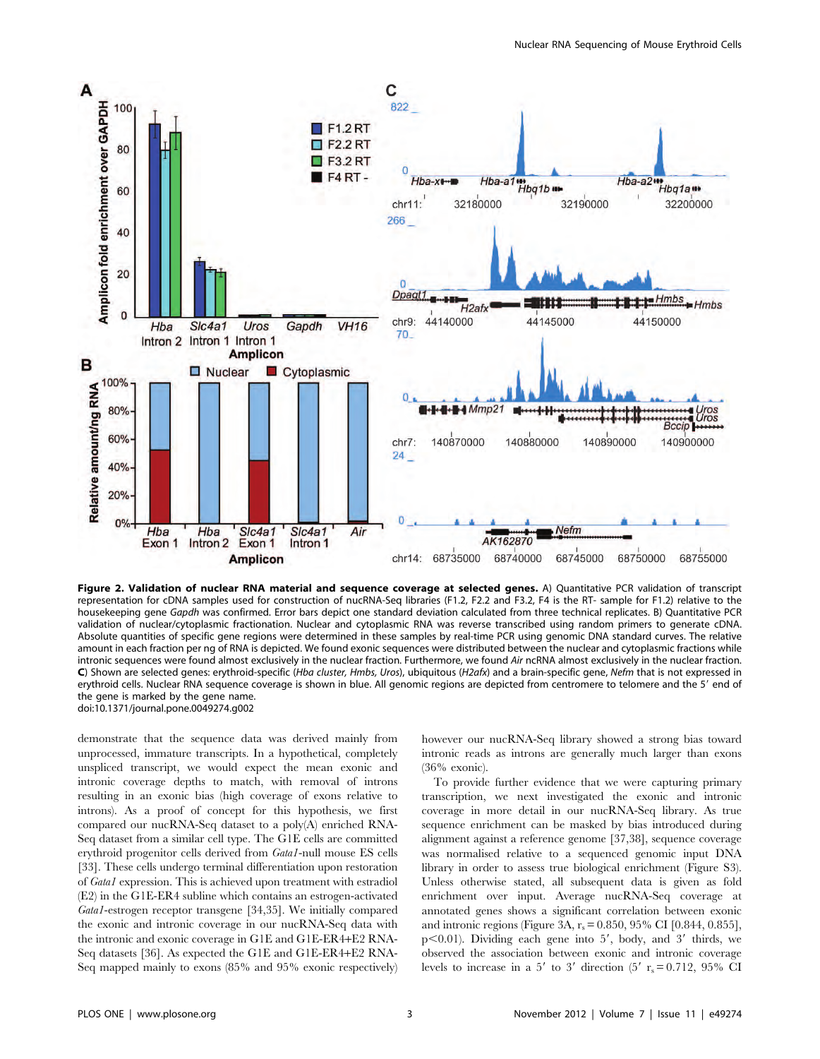

Figure 2. Validation of nuclear RNA material and sequence coverage at selected genes. A) Quantitative PCR validation of transcript representation for cDNA samples used for construction of nucRNA-Seq libraries (F1.2, F2.2 and F3.2, F4 is the RT- sample for F1.2) relative to the housekeeping gene Gapdh was confirmed. Error bars depict one standard deviation calculated from three technical replicates. B) Quantitative PCR validation of nuclear/cytoplasmic fractionation. Nuclear and cytoplasmic RNA was reverse transcribed using random primers to generate cDNA. Absolute quantities of specific gene regions were determined in these samples by real-time PCR using genomic DNA standard curves. The relative amount in each fraction per ng of RNA is depicted. We found exonic sequences were distributed between the nuclear and cytoplasmic fractions while intronic sequences were found almost exclusively in the nuclear fraction. Furthermore, we found Air ncRNA almost exclusively in the nuclear fraction. C) Shown are selected genes: erythroid-specific (Hba cluster, Hmbs, Uros), ubiquitous (H2afx) and a brain-specific gene, Nefm that is not expressed in erythroid cells. Nuclear RNA sequence coverage is shown in blue. All genomic regions are depicted from centromere to telomere and the 5' end of the gene is marked by the gene name. doi:10.1371/journal.pone.0049274.g002

demonstrate that the sequence data was derived mainly from unprocessed, immature transcripts. In a hypothetical, completely unspliced transcript, we would expect the mean exonic and intronic coverage depths to match, with removal of introns resulting in an exonic bias (high coverage of exons relative to introns). As a proof of concept for this hypothesis, we first compared our nucRNA-Seq dataset to a poly(A) enriched RNA-Seq dataset from a similar cell type. The G1E cells are committed erythroid progenitor cells derived from Gata1-null mouse ES cells [33]. These cells undergo terminal differentiation upon restoration of Gata1 expression. This is achieved upon treatment with estradiol (E2) in the G1E-ER4 subline which contains an estrogen-activated Gata1-estrogen receptor transgene [34,35]. We initially compared the exonic and intronic coverage in our nucRNA-Seq data with the intronic and exonic coverage in G1E and G1E-ER4+E2 RNA-Seq datasets [36]. As expected the G1E and G1E-ER4+E2 RNA-Seq mapped mainly to exons (85% and 95% exonic respectively)

however our nucRNA-Seq library showed a strong bias toward intronic reads as introns are generally much larger than exons (36% exonic).

To provide further evidence that we were capturing primary transcription, we next investigated the exonic and intronic coverage in more detail in our nucRNA-Seq library. As true sequence enrichment can be masked by bias introduced during alignment against a reference genome [37,38], sequence coverage was normalised relative to a sequenced genomic input DNA library in order to assess true biological enrichment (Figure S3). Unless otherwise stated, all subsequent data is given as fold enrichment over input. Average nucRNA-Seq coverage at annotated genes shows a significant correlation between exonic and intronic regions (Figure 3A,  $r_s = 0.850$ , 95% CI [0.844, 0.855],  $p<0.01$ ). Dividing each gene into 5', body, and 3' thirds, we observed the association between exonic and intronic coverage levels to increase in a 5' to 3' direction (5'  $r_s = 0.712$ , 95% CI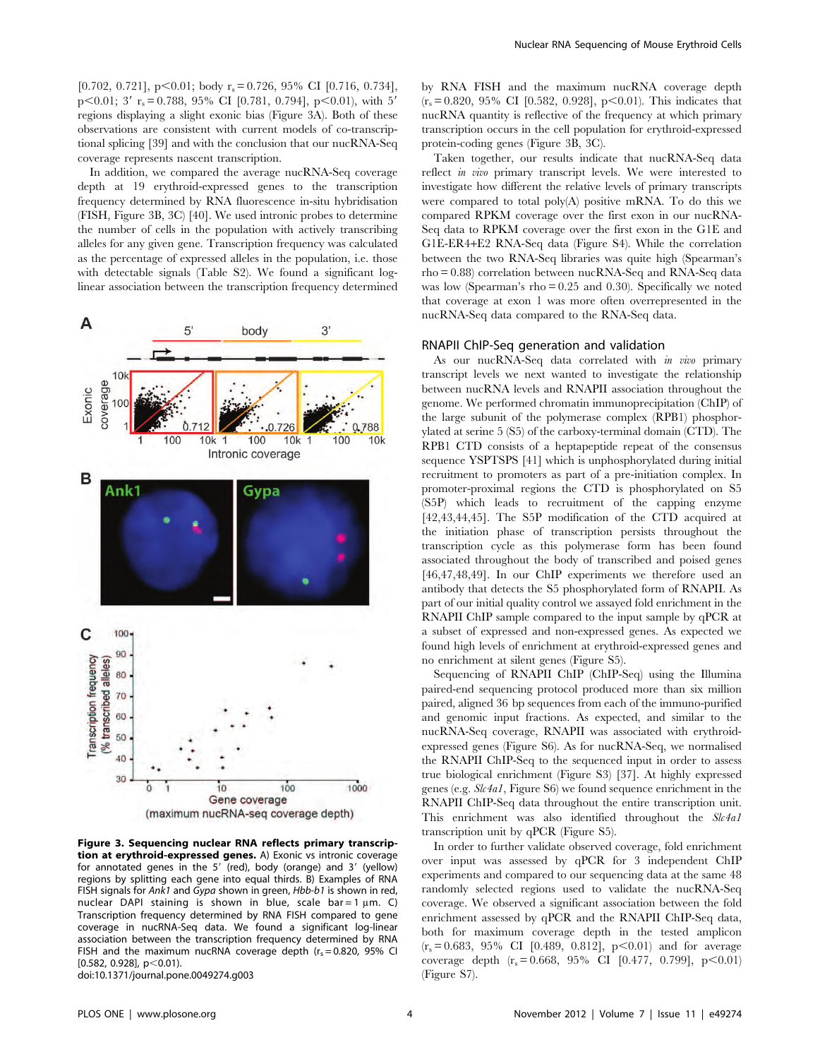[0.702, 0.721],  $p<0.01$ ; body  $r_s= 0.726$ , 95% CI [0.716, 0.734], p $\leq 0.01$ ; 3' r<sub>s</sub>= 0.788, 95% CI [0.781, 0.794], p $\leq 0.01$ ), with 5' regions displaying a slight exonic bias (Figure 3A). Both of these observations are consistent with current models of co-transcriptional splicing [39] and with the conclusion that our nucRNA-Seq coverage represents nascent transcription.

In addition, we compared the average nucRNA-Seq coverage depth at 19 erythroid-expressed genes to the transcription frequency determined by RNA fluorescence in-situ hybridisation (FISH, Figure 3B, 3C) [40]. We used intronic probes to determine the number of cells in the population with actively transcribing alleles for any given gene. Transcription frequency was calculated as the percentage of expressed alleles in the population, i.e. those with detectable signals (Table S2). We found a significant loglinear association between the transcription frequency determined



Figure 3. Sequencing nuclear RNA reflects primary transcription at erythroid-expressed genes. A) Exonic vs intronic coverage for annotated genes in the 5' (red), body (orange) and 3' (yellow) regions by splitting each gene into equal thirds. B) Examples of RNA FISH signals for Ank1 and Gypa shown in green, Hbb-b1 is shown in red, nuclear DAPI staining is shown in blue, scale bar = 1  $\mu$ m. C) Transcription frequency determined by RNA FISH compared to gene coverage in nucRNA-Seq data. We found a significant log-linear association between the transcription frequency determined by RNA FISH and the maximum nucRNA coverage depth  $(r_s = 0.820, 95\%$  CI  $[0.582, 0.928], p<0.01$ ).

doi:10.1371/journal.pone.0049274.g003

by RNA FISH and the maximum nucRNA coverage depth  $(r_s = 0.820, 95\% \text{ CI} [0.582, 0.928], p<0.01)$ . This indicates that nucRNA quantity is reflective of the frequency at which primary transcription occurs in the cell population for erythroid-expressed protein-coding genes (Figure 3B, 3C).

Taken together, our results indicate that nucRNA-Seq data reflect in vivo primary transcript levels. We were interested to investigate how different the relative levels of primary transcripts were compared to total poly(A) positive mRNA. To do this we compared RPKM coverage over the first exon in our nucRNA-Seq data to RPKM coverage over the first exon in the G1E and G1E-ER4+E2 RNA-Seq data (Figure S4). While the correlation between the two RNA-Seq libraries was quite high (Spearman's rho = 0.88) correlation between nucRNA-Seq and RNA-Seq data was low (Spearman's rho = 0.25 and 0.30). Specifically we noted that coverage at exon 1 was more often overrepresented in the nucRNA-Seq data compared to the RNA-Seq data.

#### RNAPII ChIP-Seq generation and validation

As our nucRNA-Seq data correlated with in vivo primary transcript levels we next wanted to investigate the relationship between nucRNA levels and RNAPII association throughout the genome. We performed chromatin immunoprecipitation (ChIP) of the large subunit of the polymerase complex (RPB1) phosphorylated at serine 5 (S5) of the carboxy-terminal domain (CTD). The RPB1 CTD consists of a heptapeptide repeat of the consensus sequence YSPTSPS [41] which is unphosphorylated during initial recruitment to promoters as part of a pre-initiation complex. In promoter-proximal regions the CTD is phosphorylated on S5 (S5P) which leads to recruitment of the capping enzyme [42,43,44,45]. The S5P modification of the CTD acquired at the initiation phase of transcription persists throughout the transcription cycle as this polymerase form has been found associated throughout the body of transcribed and poised genes [46,47,48,49]. In our ChIP experiments we therefore used an antibody that detects the S5 phosphorylated form of RNAPII. As part of our initial quality control we assayed fold enrichment in the RNAPII ChIP sample compared to the input sample by qPCR at a subset of expressed and non-expressed genes. As expected we found high levels of enrichment at erythroid-expressed genes and no enrichment at silent genes (Figure S5).

Sequencing of RNAPII ChIP (ChIP-Seq) using the Illumina paired-end sequencing protocol produced more than six million paired, aligned 36 bp sequences from each of the immuno-purified and genomic input fractions. As expected, and similar to the nucRNA-Seq coverage, RNAPII was associated with erythroidexpressed genes (Figure S6). As for nucRNA-Seq, we normalised the RNAPII ChIP-Seq to the sequenced input in order to assess true biological enrichment (Figure S3) [37]. At highly expressed genes (e.g. Slc4a1, Figure S6) we found sequence enrichment in the RNAPII ChIP-Seq data throughout the entire transcription unit. This enrichment was also identified throughout the Slc4a1 transcription unit by qPCR (Figure S5).

In order to further validate observed coverage, fold enrichment over input was assessed by qPCR for 3 independent ChIP experiments and compared to our sequencing data at the same 48 randomly selected regions used to validate the nucRNA-Seq coverage. We observed a significant association between the fold enrichment assessed by qPCR and the RNAPII ChIP-Seq data, both for maximum coverage depth in the tested amplicon  $(r_s = 0.683, 95\% \text{ CI}$  [0.489, 0.812], p $\leq 0.01$  and for average coverage depth  $(r_s = 0.668, 95\% \text{ CI} [0.477, 0.799], p<0.01)$ (Figure S7).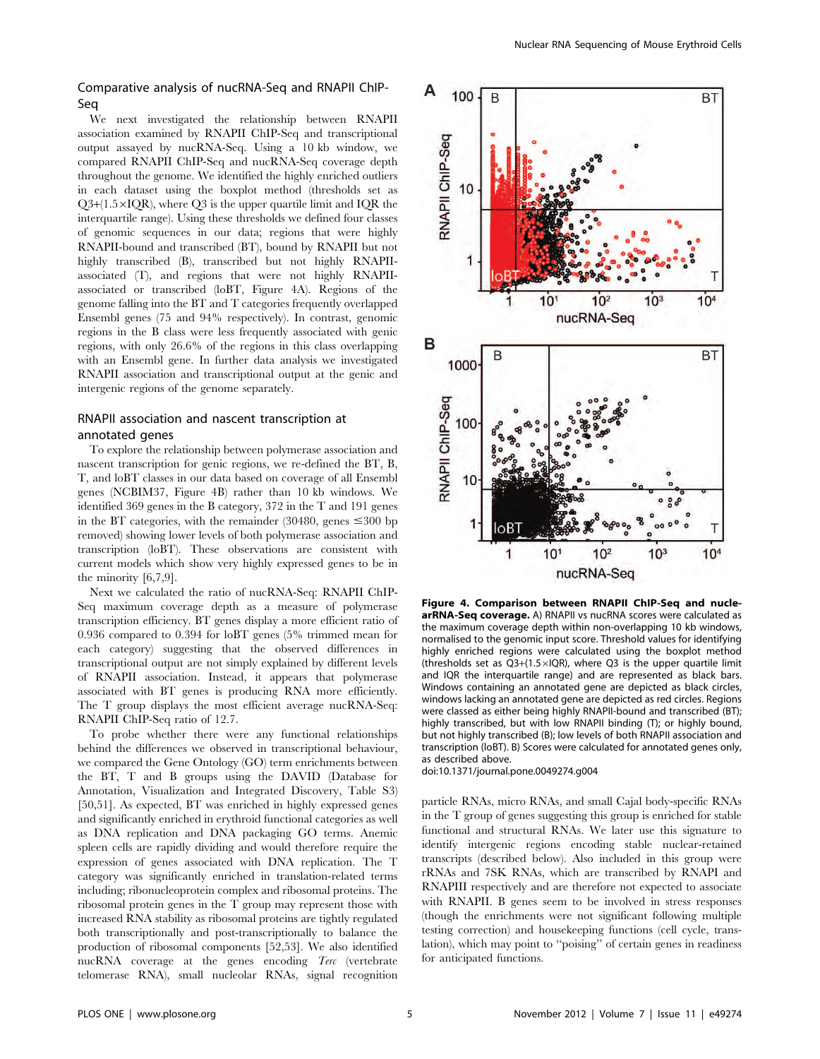Comparative analysis of nucRNA-Seq and RNAPII ChIP-Seq

We next investigated the relationship between RNAPII association examined by RNAPII ChIP-Seq and transcriptional output assayed by nucRNA-Seq. Using a 10 kb window, we compared RNAPII ChIP-Seq and nucRNA-Seq coverage depth throughout the genome. We identified the highly enriched outliers in each dataset using the boxplot method (thresholds set as  $Q3+(1.5\times IQR)$ , where  $Q3$  is the upper quartile limit and IQR the interquartile range). Using these thresholds we defined four classes of genomic sequences in our data; regions that were highly RNAPII-bound and transcribed (BT), bound by RNAPII but not highly transcribed (B), transcribed but not highly RNAPIIassociated (T), and regions that were not highly RNAPIIassociated or transcribed (loBT, Figure 4A). Regions of the genome falling into the BT and T categories frequently overlapped Ensembl genes (75 and 94% respectively). In contrast, genomic regions in the B class were less frequently associated with genic regions, with only 26.6% of the regions in this class overlapping with an Ensembl gene. In further data analysis we investigated RNAPII association and transcriptional output at the genic and intergenic regions of the genome separately.

## RNAPII association and nascent transcription at annotated genes

To explore the relationship between polymerase association and nascent transcription for genic regions, we re-defined the BT, B, T, and loBT classes in our data based on coverage of all Ensembl genes (NCBIM37, Figure 4B) rather than 10 kb windows. We identified 369 genes in the B category, 372 in the T and 191 genes in the BT categories, with the remainder (30480, genes  $\leq 300$  bp removed) showing lower levels of both polymerase association and transcription (loBT). These observations are consistent with current models which show very highly expressed genes to be in the minority [6,7,9].

Next we calculated the ratio of nucRNA-Seq: RNAPII ChIP-Seq maximum coverage depth as a measure of polymerase transcription efficiency. BT genes display a more efficient ratio of 0.936 compared to 0.394 for loBT genes (5% trimmed mean for each category) suggesting that the observed differences in transcriptional output are not simply explained by different levels of RNAPII association. Instead, it appears that polymerase associated with BT genes is producing RNA more efficiently. The T group displays the most efficient average nucRNA-Seq: RNAPII ChIP-Seq ratio of 12.7.

To probe whether there were any functional relationships behind the differences we observed in transcriptional behaviour, we compared the Gene Ontology (GO) term enrichments between the BT, T and B groups using the DAVID (Database for Annotation, Visualization and Integrated Discovery, Table S3) [50,51]. As expected, BT was enriched in highly expressed genes and significantly enriched in erythroid functional categories as well as DNA replication and DNA packaging GO terms. Anemic spleen cells are rapidly dividing and would therefore require the expression of genes associated with DNA replication. The T category was significantly enriched in translation-related terms including; ribonucleoprotein complex and ribosomal proteins. The ribosomal protein genes in the T group may represent those with increased RNA stability as ribosomal proteins are tightly regulated both transcriptionally and post-transcriptionally to balance the production of ribosomal components [52,53]. We also identified nucRNA coverage at the genes encoding Terc (vertebrate telomerase RNA), small nucleolar RNAs, signal recognition



Figure 4. Comparison between RNAPII ChIP-Seq and nuclearRNA-Seq coverage. A) RNAPII vs nucRNA scores were calculated as the maximum coverage depth within non-overlapping 10 kb windows, normalised to the genomic input score. Threshold values for identifying highly enriched regions were calculated using the boxplot method (thresholds set as  $Q3+(1.5\times IQR)$ , where Q3 is the upper quartile limit and IQR the interquartile range) and are represented as black bars. Windows containing an annotated gene are depicted as black circles, windows lacking an annotated gene are depicted as red circles. Regions were classed as either being highly RNAPII-bound and transcribed (BT); highly transcribed, but with low RNAPII binding (T); or highly bound, but not highly transcribed (B); low levels of both RNAPII association and transcription (loBT). B) Scores were calculated for annotated genes only, as described above.

doi:10.1371/journal.pone.0049274.g004

particle RNAs, micro RNAs, and small Cajal body-specific RNAs in the T group of genes suggesting this group is enriched for stable functional and structural RNAs. We later use this signature to identify intergenic regions encoding stable nuclear-retained transcripts (described below). Also included in this group were rRNAs and 7SK RNAs, which are transcribed by RNAPI and RNAPIII respectively and are therefore not expected to associate with RNAPII. B genes seem to be involved in stress responses (though the enrichments were not significant following multiple testing correction) and housekeeping functions (cell cycle, translation), which may point to ''poising'' of certain genes in readiness for anticipated functions.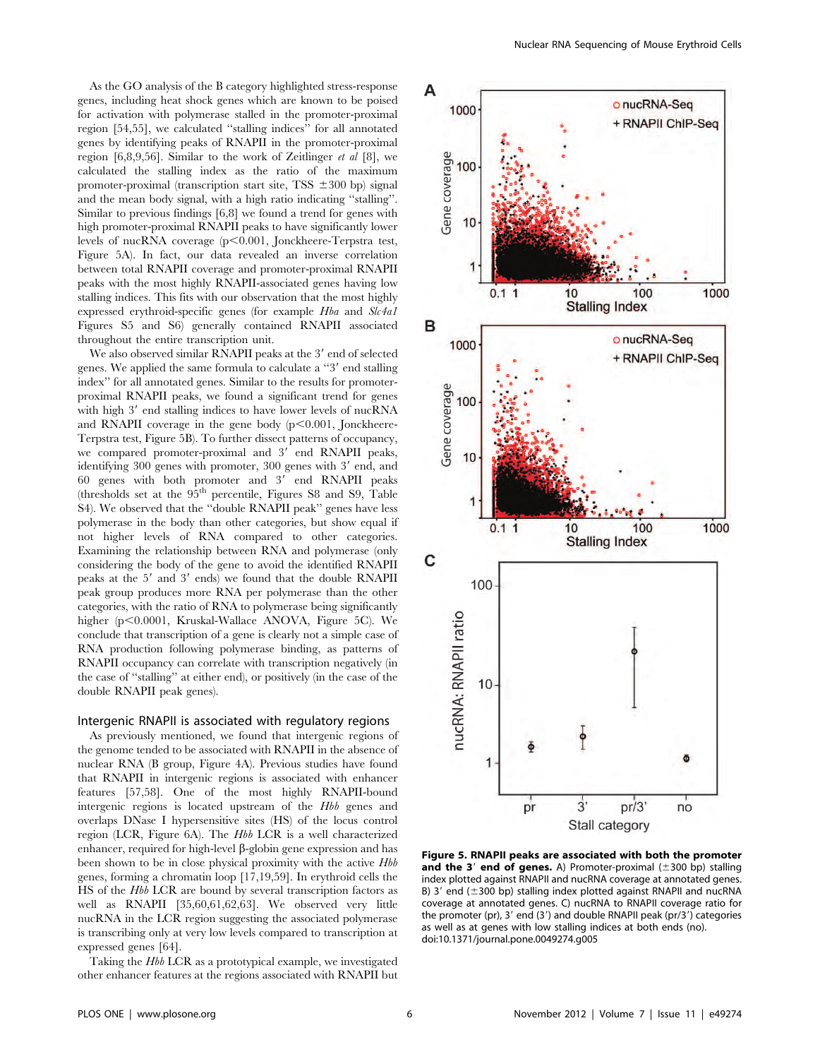As the GO analysis of the B category highlighted stress-response genes, including heat shock genes which are known to be poised for activation with polymerase stalled in the promoter-proximal region [54,55], we calculated ''stalling indices'' for all annotated genes by identifying peaks of RNAPII in the promoter-proximal region  $[6,8,9,56]$ . Similar to the work of Zeitlinger *et al*  $[8]$ , we calculated the stalling index as the ratio of the maximum promoter-proximal (transcription start site, TSS  $\pm 300$  bp) signal and the mean body signal, with a high ratio indicating ''stalling''. Similar to previous findings [6,8] we found a trend for genes with high promoter-proximal RNAPII peaks to have significantly lower levels of nucRNA coverage (p<0.001, Jonckheere-Terpstra test, Figure 5A). In fact, our data revealed an inverse correlation between total RNAPII coverage and promoter-proximal RNAPII peaks with the most highly RNAPII-associated genes having low stalling indices. This fits with our observation that the most highly expressed erythroid-specific genes (for example Hba and Slc4a1 Figures S5 and S6) generally contained RNAPII associated throughout the entire transcription unit.

We also observed similar RNAPII peaks at the 3' end of selected genes. We applied the same formula to calculate a "3' end stalling" index'' for all annotated genes. Similar to the results for promoterproximal RNAPII peaks, we found a significant trend for genes with high 3' end stalling indices to have lower levels of nucRNA and RNAPII coverage in the gene body  $(p<0.001,$  Jonckheere-Terpstra test, Figure 5B). To further dissect patterns of occupancy, we compared promoter-proximal and 3' end RNAPII peaks, identifying 300 genes with promoter, 300 genes with 3' end, and  $60$  genes with both promoter and  $3'$  end RNAPII peaks (thresholds set at the  $95<sup>th</sup>$  percentile, Figures S8 and S9, Table S4). We observed that the ''double RNAPII peak'' genes have less polymerase in the body than other categories, but show equal if not higher levels of RNA compared to other categories. Examining the relationship between RNA and polymerase (only considering the body of the gene to avoid the identified RNAPII peaks at the  $5'$  and  $3'$  ends) we found that the double RNAPII peak group produces more RNA per polymerase than the other categories, with the ratio of RNA to polymerase being significantly higher (p<0.0001, Kruskal-Wallace ANOVA, Figure 5C). We conclude that transcription of a gene is clearly not a simple case of RNA production following polymerase binding, as patterns of RNAPII occupancy can correlate with transcription negatively (in the case of ''stalling'' at either end), or positively (in the case of the double RNAPII peak genes).

#### Intergenic RNAPII is associated with regulatory regions

As previously mentioned, we found that intergenic regions of the genome tended to be associated with RNAPII in the absence of nuclear RNA (B group, Figure 4A). Previous studies have found that RNAPII in intergenic regions is associated with enhancer features [57,58]. One of the most highly RNAPII-bound intergenic regions is located upstream of the Hbb genes and overlaps DNase I hypersensitive sites (HS) of the locus control region (LCR, Figure 6A). The Hbb LCR is a well characterized enhancer, required for high-level  $\beta$ -globin gene expression and has been shown to be in close physical proximity with the active Hbb genes, forming a chromatin loop [17,19,59]. In erythroid cells the HS of the Hbb LCR are bound by several transcription factors as well as RNAPII [35,60,61,62,63]. We observed very little nucRNA in the LCR region suggesting the associated polymerase is transcribing only at very low levels compared to transcription at expressed genes [64].

Taking the Hbb LCR as a prototypical example, we investigated other enhancer features at the regions associated with RNAPII but



Figure 5. RNAPII peaks are associated with both the promoter and the 3' end of genes. A) Promoter-proximal  $(\pm 300$  bp) stalling index plotted against RNAPII and nucRNA coverage at annotated genes. B)  $3'$  end ( $\pm 300$  bp) stalling index plotted against RNAPII and nucRNA coverage at annotated genes. C) nucRNA to RNAPII coverage ratio for the promoter (pr),  $3'$  end (3') and double RNAPII peak (pr/3') categories as well as at genes with low stalling indices at both ends (no). doi:10.1371/journal.pone.0049274.g005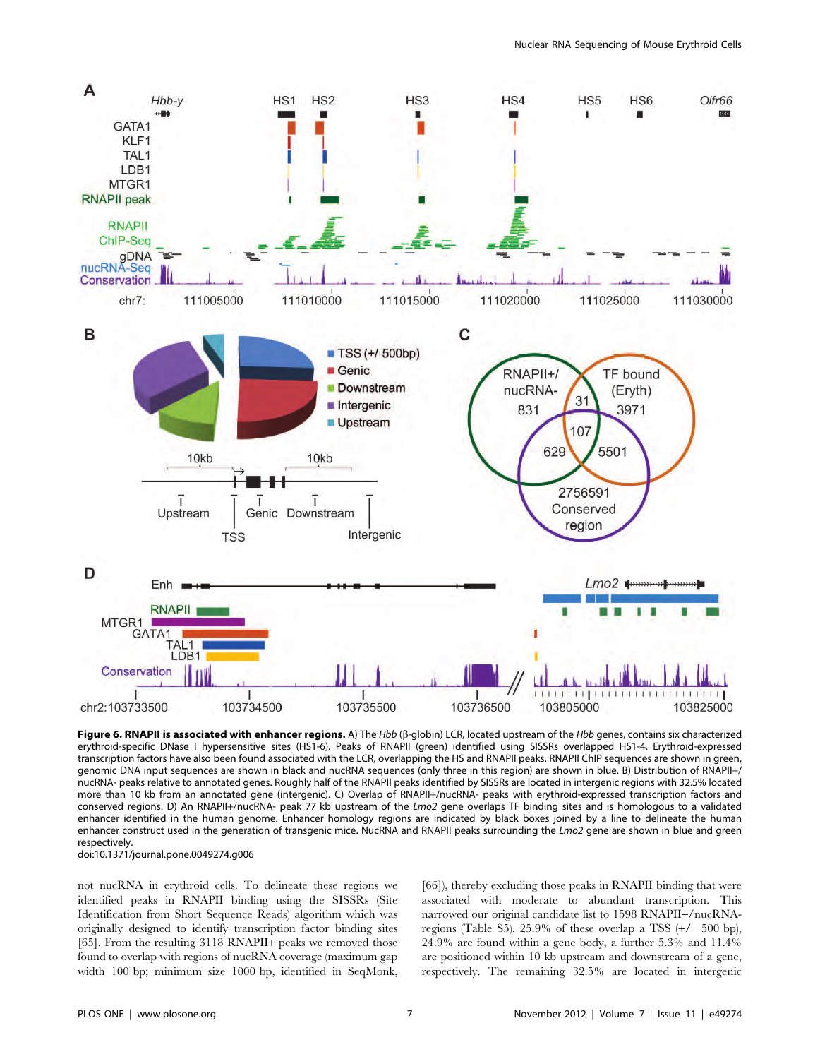

Figure 6. RNAPII is associated with enhancer regions. A) The Hbb (B-globin) LCR, located upstream of the Hbb genes, contains six characterized erythroid-specific DNase I hypersensitive sites (HS1-6). Peaks of RNAPII (green) identified using SISSRs overlapped HS1-4. Erythroid-expressed transcription factors have also been found associated with the LCR, overlapping the HS and RNAPII peaks. RNAPII ChIP sequences are shown in green, genomic DNA input sequences are shown in black and nucRNA sequences (only three in this region) are shown in blue. B) Distribution of RNAPII+/ nucRNA- peaks relative to annotated genes. Roughly half of the RNAPII peaks identified by SISSRs are located in intergenic regions with 32.5% located more than 10 kb from an annotated gene (intergenic). C) Overlap of RNAPII+/nucRNA- peaks with erythroid-expressed transcription factors and conserved regions. D) An RNAPII+/nucRNA- peak 77 kb upstream of the Lmo2 gene overlaps TF binding sites and is homologous to a validated enhancer identified in the human genome. Enhancer homology regions are indicated by black boxes joined by a line to delineate the human enhancer construct used in the generation of transgenic mice. NucRNA and RNAPII peaks surrounding the Lmo2 gene are shown in blue and green respectively.

doi:10.1371/journal.pone.0049274.g006

not nucRNA in erythroid cells. To delineate these regions we identified peaks in RNAPII binding using the SISSRs (Site Identification from Short Sequence Reads) algorithm which was originally designed to identify transcription factor binding sites [65]. From the resulting 3118 RNAPII+ peaks we removed those found to overlap with regions of nucRNA coverage (maximum gap width 100 bp; minimum size 1000 bp, identified in SeqMonk,

[66]), thereby excluding those peaks in RNAPII binding that were associated with moderate to abundant transcription. This narrowed our original candidate list to 1598 RNAPII+/nucRNAregions (Table S5). 25.9% of these overlap a TSS  $(+/-500$  bp), 24.9% are found within a gene body, a further 5.3% and 11.4% are positioned within 10 kb upstream and downstream of a gene, respectively. The remaining 32.5% are located in intergenic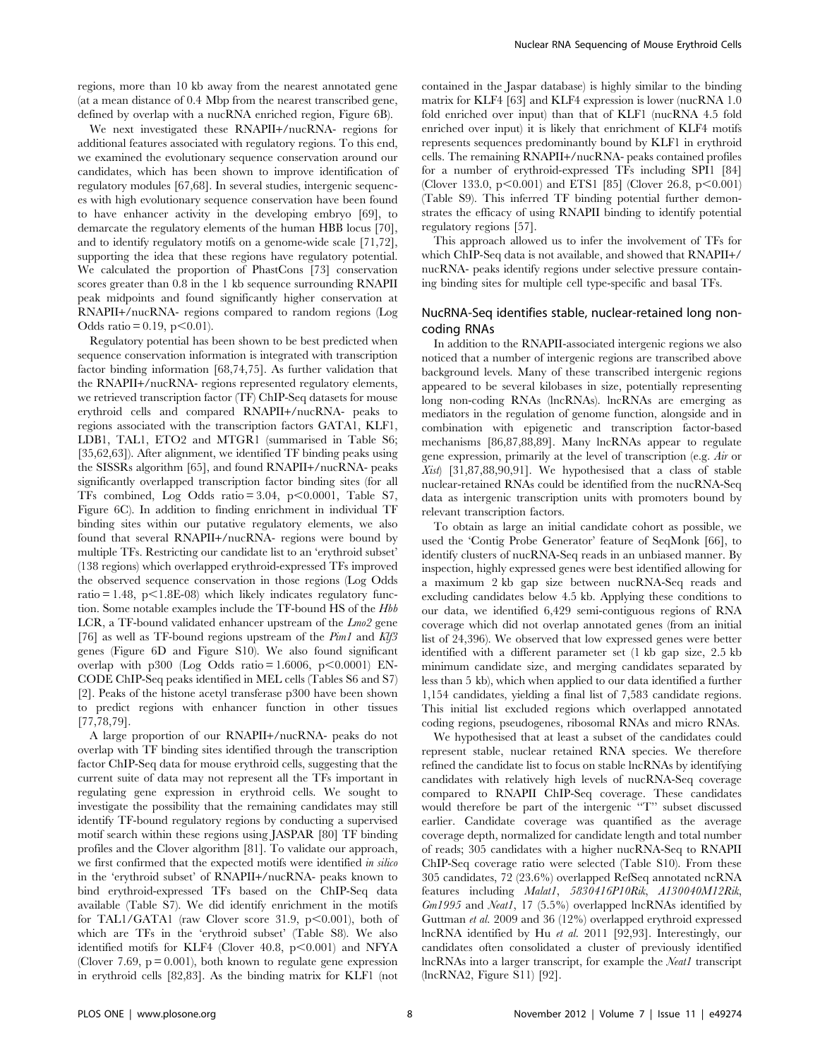regions, more than 10 kb away from the nearest annotated gene (at a mean distance of 0.4 Mbp from the nearest transcribed gene, defined by overlap with a nucRNA enriched region, Figure 6B).

We next investigated these RNAPII+/nucRNA- regions for additional features associated with regulatory regions. To this end, we examined the evolutionary sequence conservation around our candidates, which has been shown to improve identification of regulatory modules [67,68]. In several studies, intergenic sequences with high evolutionary sequence conservation have been found to have enhancer activity in the developing embryo [69], to demarcate the regulatory elements of the human HBB locus [70], and to identify regulatory motifs on a genome-wide scale [71,72], supporting the idea that these regions have regulatory potential. We calculated the proportion of PhastCons [73] conservation scores greater than 0.8 in the 1 kb sequence surrounding RNAPII peak midpoints and found significantly higher conservation at RNAPII+/nucRNA- regions compared to random regions (Log Odds ratio = 0.19,  $p$ <0.01).

Regulatory potential has been shown to be best predicted when sequence conservation information is integrated with transcription factor binding information [68,74,75]. As further validation that the RNAPII+/nucRNA- regions represented regulatory elements, we retrieved transcription factor (TF) ChIP-Seq datasets for mouse erythroid cells and compared RNAPII+/nucRNA- peaks to regions associated with the transcription factors GATA1, KLF1, LDB1, TAL1, ETO2 and MTGR1 (summarised in Table S6; [35,62,63]). After alignment, we identified TF binding peaks using the SISSRs algorithm [65], and found RNAPII+/nucRNA- peaks significantly overlapped transcription factor binding sites (for all TFs combined, Log Odds ratio =  $3.04$ , p<0.0001, Table S7, Figure 6C). In addition to finding enrichment in individual TF binding sites within our putative regulatory elements, we also found that several RNAPII+/nucRNA- regions were bound by multiple TFs. Restricting our candidate list to an 'erythroid subset' (138 regions) which overlapped erythroid-expressed TFs improved the observed sequence conservation in those regions (Log Odds ratio  $= 1.48$ , p $\leq 1.8E-08$ ) which likely indicates regulatory function. Some notable examples include the TF-bound HS of the Hbb LCR, a TF-bound validated enhancer upstream of the Lmo<sub>2</sub> gene [76] as well as TF-bound regions upstream of the  $Pim1$  and  $Kl/3$ genes (Figure 6D and Figure S10). We also found significant overlap with p300 (Log Odds ratio =  $1.6006$ , p $\leq 0.0001$ ) EN-CODE ChIP-Seq peaks identified in MEL cells (Tables S6 and S7) [2]. Peaks of the histone acetyl transferase p300 have been shown to predict regions with enhancer function in other tissues [77,78,79].

A large proportion of our RNAPII+/nucRNA- peaks do not overlap with TF binding sites identified through the transcription factor ChIP-Seq data for mouse erythroid cells, suggesting that the current suite of data may not represent all the TFs important in regulating gene expression in erythroid cells. We sought to investigate the possibility that the remaining candidates may still identify TF-bound regulatory regions by conducting a supervised motif search within these regions using JASPAR [80] TF binding profiles and the Clover algorithm [81]. To validate our approach, we first confirmed that the expected motifs were identified in silico in the 'erythroid subset' of RNAPII+/nucRNA- peaks known to bind erythroid-expressed TFs based on the ChIP-Seq data available (Table S7). We did identify enrichment in the motifs for TAL1/GATA1 (raw Clover score 31.9,  $p<0.001$ ), both of which are TFs in the 'erythroid subset' (Table S8). We also identified motifs for KLF4 (Clover 40.8,  $p<0.001$ ) and NFYA (Clover 7.69,  $p = 0.001$ ), both known to regulate gene expression in erythroid cells [82,83]. As the binding matrix for KLF1 (not contained in the Jaspar database) is highly similar to the binding matrix for KLF4 [63] and KLF4 expression is lower (nucRNA 1.0 fold enriched over input) than that of KLF1 (nucRNA 4.5 fold enriched over input) it is likely that enrichment of KLF4 motifs represents sequences predominantly bound by KLF1 in erythroid cells. The remaining RNAPII+/nucRNA- peaks contained profiles for a number of erythroid-expressed TFs including SPI1 [84] (Clover 133.0,  $p<0.001$ ) and ETS1 [85] (Clover 26.8,  $p<0.001$ ) (Table S9). This inferred TF binding potential further demonstrates the efficacy of using RNAPII binding to identify potential regulatory regions [57].

This approach allowed us to infer the involvement of TFs for which ChIP-Seq data is not available, and showed that RNAPII+/ nucRNA- peaks identify regions under selective pressure containing binding sites for multiple cell type-specific and basal TFs.

## NucRNA-Seq identifies stable, nuclear-retained long noncoding RNAs

In addition to the RNAPII-associated intergenic regions we also noticed that a number of intergenic regions are transcribed above background levels. Many of these transcribed intergenic regions appeared to be several kilobases in size, potentially representing long non-coding RNAs (lncRNAs). lncRNAs are emerging as mediators in the regulation of genome function, alongside and in combination with epigenetic and transcription factor-based mechanisms [86,87,88,89]. Many lncRNAs appear to regulate gene expression, primarily at the level of transcription (e.g. Air or Xist) [31,87,88,90,91]. We hypothesised that a class of stable nuclear-retained RNAs could be identified from the nucRNA-Seq data as intergenic transcription units with promoters bound by relevant transcription factors.

To obtain as large an initial candidate cohort as possible, we used the 'Contig Probe Generator' feature of SeqMonk [66], to identify clusters of nucRNA-Seq reads in an unbiased manner. By inspection, highly expressed genes were best identified allowing for a maximum 2 kb gap size between nucRNA-Seq reads and excluding candidates below 4.5 kb. Applying these conditions to our data, we identified 6,429 semi-contiguous regions of RNA coverage which did not overlap annotated genes (from an initial list of 24,396). We observed that low expressed genes were better identified with a different parameter set (1 kb gap size, 2.5 kb minimum candidate size, and merging candidates separated by less than 5 kb), which when applied to our data identified a further 1,154 candidates, yielding a final list of 7,583 candidate regions. This initial list excluded regions which overlapped annotated coding regions, pseudogenes, ribosomal RNAs and micro RNAs.

We hypothesised that at least a subset of the candidates could represent stable, nuclear retained RNA species. We therefore refined the candidate list to focus on stable lncRNAs by identifying candidates with relatively high levels of nucRNA-Seq coverage compared to RNAPII ChIP-Seq coverage. These candidates would therefore be part of the intergenic ''T'' subset discussed earlier. Candidate coverage was quantified as the average coverage depth, normalized for candidate length and total number of reads; 305 candidates with a higher nucRNA-Seq to RNAPII ChIP-Seq coverage ratio were selected (Table S10). From these 305 candidates, 72 (23.6%) overlapped RefSeq annotated ncRNA features including Malat1, 5830416P10Rik, A130040M12Rik, Gm1995 and Neatl, 17 (5.5%) overlapped lncRNAs identified by Guttman et al. 2009 and 36 (12%) overlapped erythroid expressed lncRNA identified by Hu et al. 2011 [92,93]. Interestingly, our candidates often consolidated a cluster of previously identified lncRNAs into a larger transcript, for example the Neat1 transcript (lncRNA2, Figure S11) [92].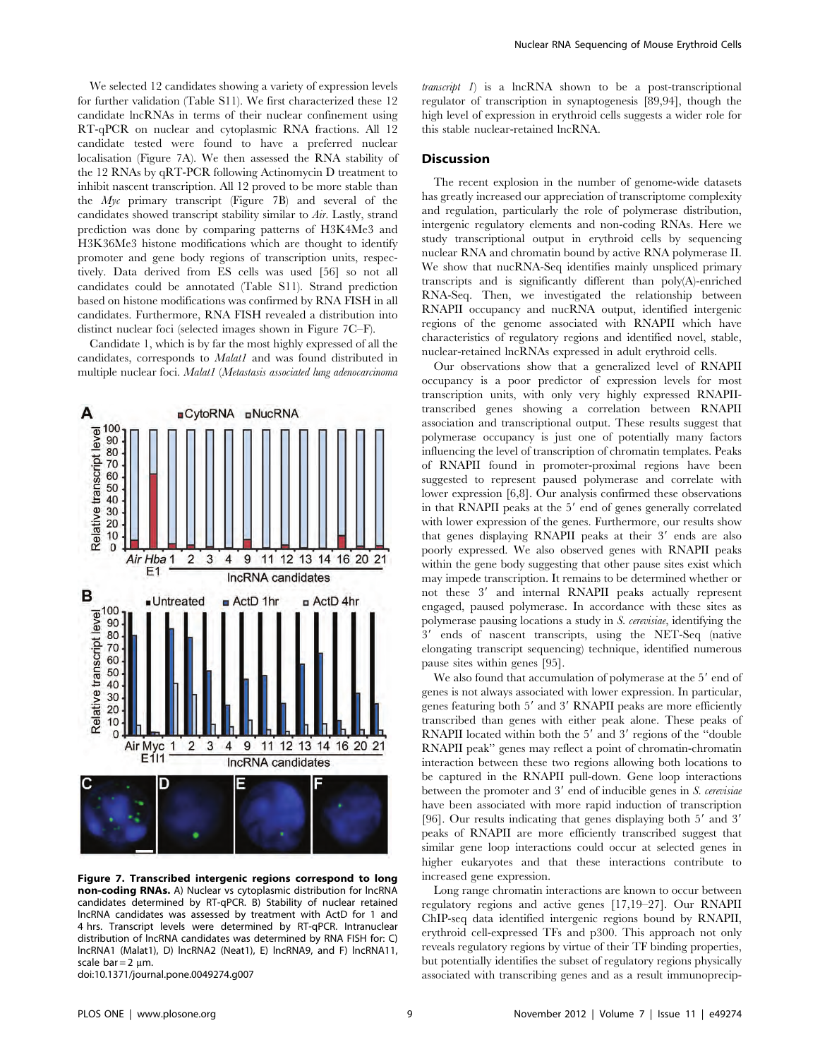We selected 12 candidates showing a variety of expression levels for further validation (Table S11). We first characterized these 12 candidate lncRNAs in terms of their nuclear confinement using RT-qPCR on nuclear and cytoplasmic RNA fractions. All 12 candidate tested were found to have a preferred nuclear localisation (Figure 7A). We then assessed the RNA stability of the 12 RNAs by qRT-PCR following Actinomycin D treatment to inhibit nascent transcription. All 12 proved to be more stable than the  $Myc$  primary transcript (Figure 7B) and several of the candidates showed transcript stability similar to Air. Lastly, strand prediction was done by comparing patterns of H3K4Me3 and H3K36Me3 histone modifications which are thought to identify promoter and gene body regions of transcription units, respectively. Data derived from ES cells was used [56] so not all candidates could be annotated (Table S11). Strand prediction based on histone modifications was confirmed by RNA FISH in all candidates. Furthermore, RNA FISH revealed a distribution into distinct nuclear foci (selected images shown in Figure 7C–F).

Candidate 1, which is by far the most highly expressed of all the candidates, corresponds to *Malat1* and was found distributed in multiple nuclear foci. Malat1 (Metastasis associated lung adenocarcinoma



Figure 7. Transcribed intergenic regions correspond to long non-coding RNAs. A) Nuclear vs cytoplasmic distribution for lncRNA candidates determined by RT-qPCR. B) Stability of nuclear retained lncRNA candidates was assessed by treatment with ActD for 1 and 4 hrs. Transcript levels were determined by RT-qPCR. Intranuclear distribution of lncRNA candidates was determined by RNA FISH for: C) lncRNA1 (Malat1), D) lncRNA2 (Neat1), E) lncRNA9, and F) lncRNA11, scale bar  $= 2 \mu m$ .

doi:10.1371/journal.pone.0049274.g007

 $transcript$  1) is a lncRNA shown to be a post-transcriptional regulator of transcription in synaptogenesis [89,94], though the high level of expression in erythroid cells suggests a wider role for this stable nuclear-retained lncRNA.

## **Discussion**

The recent explosion in the number of genome-wide datasets has greatly increased our appreciation of transcriptome complexity and regulation, particularly the role of polymerase distribution, intergenic regulatory elements and non-coding RNAs. Here we study transcriptional output in erythroid cells by sequencing nuclear RNA and chromatin bound by active RNA polymerase II. We show that nucRNA-Seq identifies mainly unspliced primary transcripts and is significantly different than poly(A)-enriched RNA-Seq. Then, we investigated the relationship between RNAPII occupancy and nucRNA output, identified intergenic regions of the genome associated with RNAPII which have characteristics of regulatory regions and identified novel, stable, nuclear-retained lncRNAs expressed in adult erythroid cells.

Our observations show that a generalized level of RNAPII occupancy is a poor predictor of expression levels for most transcription units, with only very highly expressed RNAPIItranscribed genes showing a correlation between RNAPII association and transcriptional output. These results suggest that polymerase occupancy is just one of potentially many factors influencing the level of transcription of chromatin templates. Peaks of RNAPII found in promoter-proximal regions have been suggested to represent paused polymerase and correlate with lower expression [6,8]. Our analysis confirmed these observations in that RNAPII peaks at the 5' end of genes generally correlated with lower expression of the genes. Furthermore, our results show that genes displaying RNAPII peaks at their  $3'$  ends are also poorly expressed. We also observed genes with RNAPII peaks within the gene body suggesting that other pause sites exist which may impede transcription. It remains to be determined whether or not these 3' and internal RNAPII peaks actually represent engaged, paused polymerase. In accordance with these sites as polymerase pausing locations a study in S. cerevisiae, identifying the 3' ends of nascent transcripts, using the NET-Seq (native elongating transcript sequencing) technique, identified numerous pause sites within genes [95].

We also found that accumulation of polymerase at the 5' end of genes is not always associated with lower expression. In particular, genes featuring both 5' and 3' RNAPII peaks are more efficiently transcribed than genes with either peak alone. These peaks of RNAPII located within both the 5' and 3' regions of the "double" RNAPII peak'' genes may reflect a point of chromatin-chromatin interaction between these two regions allowing both locations to be captured in the RNAPII pull-down. Gene loop interactions between the promoter and  $3'$  end of inducible genes in  $S$ . cerevisiae have been associated with more rapid induction of transcription [96]. Our results indicating that genes displaying both  $5'$  and  $3'$ peaks of RNAPII are more efficiently transcribed suggest that similar gene loop interactions could occur at selected genes in higher eukaryotes and that these interactions contribute to increased gene expression.

Long range chromatin interactions are known to occur between regulatory regions and active genes [17,19–27]. Our RNAPII ChIP-seq data identified intergenic regions bound by RNAPII, erythroid cell-expressed TFs and p300. This approach not only reveals regulatory regions by virtue of their TF binding properties, but potentially identifies the subset of regulatory regions physically associated with transcribing genes and as a result immunoprecip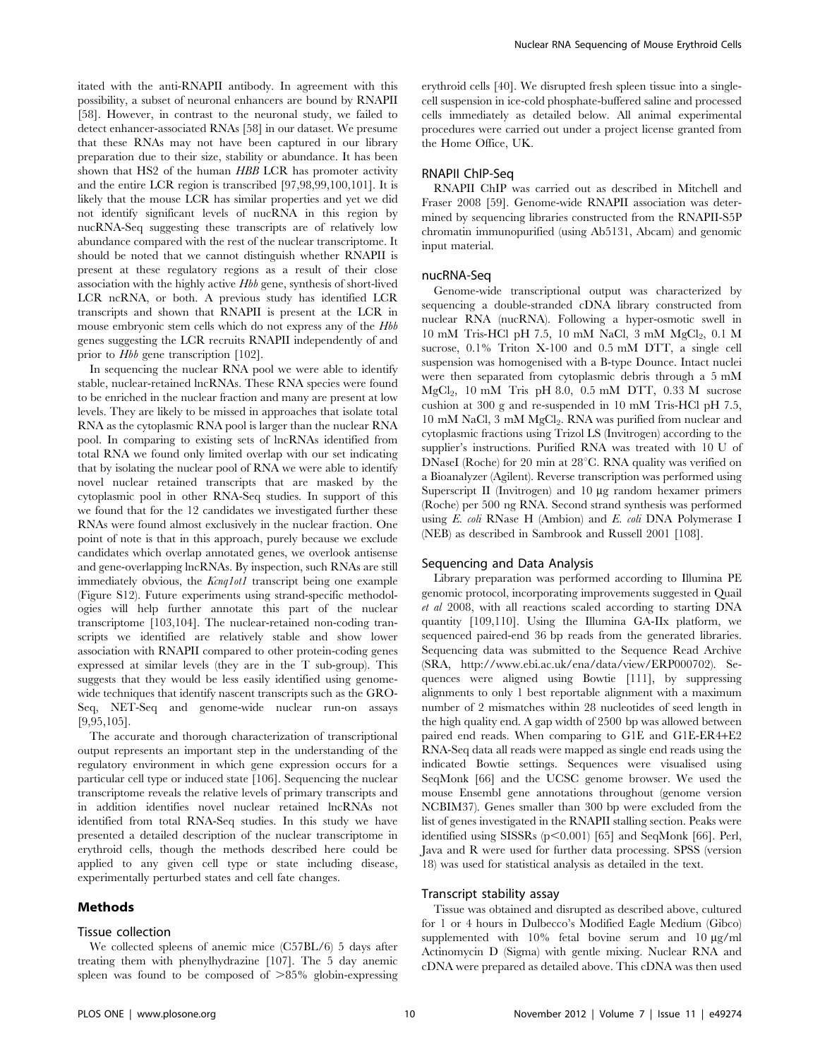itated with the anti-RNAPII antibody. In agreement with this possibility, a subset of neuronal enhancers are bound by RNAPII [58]. However, in contrast to the neuronal study, we failed to detect enhancer-associated RNAs [58] in our dataset. We presume that these RNAs may not have been captured in our library preparation due to their size, stability or abundance. It has been shown that HS2 of the human HBB LCR has promoter activity and the entire LCR region is transcribed [97,98,99,100,101]. It is likely that the mouse LCR has similar properties and yet we did not identify significant levels of nucRNA in this region by nucRNA-Seq suggesting these transcripts are of relatively low abundance compared with the rest of the nuclear transcriptome. It should be noted that we cannot distinguish whether RNAPII is present at these regulatory regions as a result of their close association with the highly active Hbb gene, synthesis of short-lived LCR ncRNA, or both. A previous study has identified LCR transcripts and shown that RNAPII is present at the LCR in mouse embryonic stem cells which do not express any of the  $Hbb$ genes suggesting the LCR recruits RNAPII independently of and prior to Hbb gene transcription [102].

In sequencing the nuclear RNA pool we were able to identify stable, nuclear-retained lncRNAs. These RNA species were found to be enriched in the nuclear fraction and many are present at low levels. They are likely to be missed in approaches that isolate total RNA as the cytoplasmic RNA pool is larger than the nuclear RNA pool. In comparing to existing sets of lncRNAs identified from total RNA we found only limited overlap with our set indicating that by isolating the nuclear pool of RNA we were able to identify novel nuclear retained transcripts that are masked by the cytoplasmic pool in other RNA-Seq studies. In support of this we found that for the 12 candidates we investigated further these RNAs were found almost exclusively in the nuclear fraction. One point of note is that in this approach, purely because we exclude candidates which overlap annotated genes, we overlook antisense and gene-overlapping lncRNAs. By inspection, such RNAs are still immediately obvious, the Kcnq1ot1 transcript being one example (Figure S12). Future experiments using strand-specific methodologies will help further annotate this part of the nuclear transcriptome [103,104]. The nuclear-retained non-coding transcripts we identified are relatively stable and show lower association with RNAPII compared to other protein-coding genes expressed at similar levels (they are in the T sub-group). This suggests that they would be less easily identified using genomewide techniques that identify nascent transcripts such as the GRO-Seq, NET-Seq and genome-wide nuclear run-on assays [9,95,105].

The accurate and thorough characterization of transcriptional output represents an important step in the understanding of the regulatory environment in which gene expression occurs for a particular cell type or induced state [106]. Sequencing the nuclear transcriptome reveals the relative levels of primary transcripts and in addition identifies novel nuclear retained lncRNAs not identified from total RNA-Seq studies. In this study we have presented a detailed description of the nuclear transcriptome in erythroid cells, though the methods described here could be applied to any given cell type or state including disease, experimentally perturbed states and cell fate changes.

## Methods

#### Tissue collection

We collected spleens of anemic mice (C57BL/6) 5 days after treating them with phenylhydrazine [107]. The 5 day anemic spleen was found to be composed of  $>85\%$  globin-expressing erythroid cells [40]. We disrupted fresh spleen tissue into a singlecell suspension in ice-cold phosphate-buffered saline and processed cells immediately as detailed below. All animal experimental procedures were carried out under a project license granted from the Home Office, UK.

## RNAPII ChIP-Seq

RNAPII ChIP was carried out as described in Mitchell and Fraser 2008 [59]. Genome-wide RNAPII association was determined by sequencing libraries constructed from the RNAPII-S5P chromatin immunopurified (using Ab5131, Abcam) and genomic input material.

## nucRNA-Seq

Genome-wide transcriptional output was characterized by sequencing a double-stranded cDNA library constructed from nuclear RNA (nucRNA). Following a hyper-osmotic swell in  $10 \text{ mM}$  Tris-HCl pH 7.5,  $10 \text{ mM}$  NaCl,  $3 \text{ mM}$  MgCl<sub>2</sub>,  $0.1 \text{ M}$ sucrose, 0.1% Triton X-100 and 0.5 mM DTT, a single cell suspension was homogenised with a B-type Dounce. Intact nuclei were then separated from cytoplasmic debris through a 5 mM MgCl<sub>2</sub>, 10 mM Tris pH 8.0, 0.5 mM DTT, 0.33 M sucrose cushion at 300 g and re-suspended in 10 mM Tris-HCl pH 7.5, 10 mM NaCl, 3 mM MgCl<sub>2</sub>. RNA was purified from nuclear and cytoplasmic fractions using Trizol LS (Invitrogen) according to the supplier's instructions. Purified RNA was treated with 10 U of DNaseI (Roche) for 20 min at  $28^{\circ}$ C. RNA quality was verified on a Bioanalyzer (Agilent). Reverse transcription was performed using Superscript II (Invitrogen) and  $10 \mu$ g random hexamer primers (Roche) per 500 ng RNA. Second strand synthesis was performed using E. coli RNase H (Ambion) and E. coli DNA Polymerase I (NEB) as described in Sambrook and Russell 2001 [108].

#### Sequencing and Data Analysis

Library preparation was performed according to Illumina PE genomic protocol, incorporating improvements suggested in Quail et al 2008, with all reactions scaled according to starting DNA quantity [109,110]. Using the Illumina GA-IIx platform, we sequenced paired-end 36 bp reads from the generated libraries. Sequencing data was submitted to the Sequence Read Archive (SRA, http://www.ebi.ac.uk/ena/data/view/ERP000702). Sequences were aligned using Bowtie [111], by suppressing alignments to only 1 best reportable alignment with a maximum number of 2 mismatches within 28 nucleotides of seed length in the high quality end. A gap width of 2500 bp was allowed between paired end reads. When comparing to G1E and G1E-ER4+E2 RNA-Seq data all reads were mapped as single end reads using the indicated Bowtie settings. Sequences were visualised using SeqMonk [66] and the UCSC genome browser. We used the mouse Ensembl gene annotations throughout (genome version NCBIM37). Genes smaller than 300 bp were excluded from the list of genes investigated in the RNAPII stalling section. Peaks were identified using SISSRs  $(p<0.001)$  [65] and SeqMonk [66]. Perl, Java and R were used for further data processing. SPSS (version 18) was used for statistical analysis as detailed in the text.

## Transcript stability assay

Tissue was obtained and disrupted as described above, cultured for 1 or 4 hours in Dulbecco's Modified Eagle Medium (Gibco) supplemented with  $10\%$  fetal bovine serum and  $10 \mu g/ml$ Actinomycin D (Sigma) with gentle mixing. Nuclear RNA and cDNA were prepared as detailed above. This cDNA was then used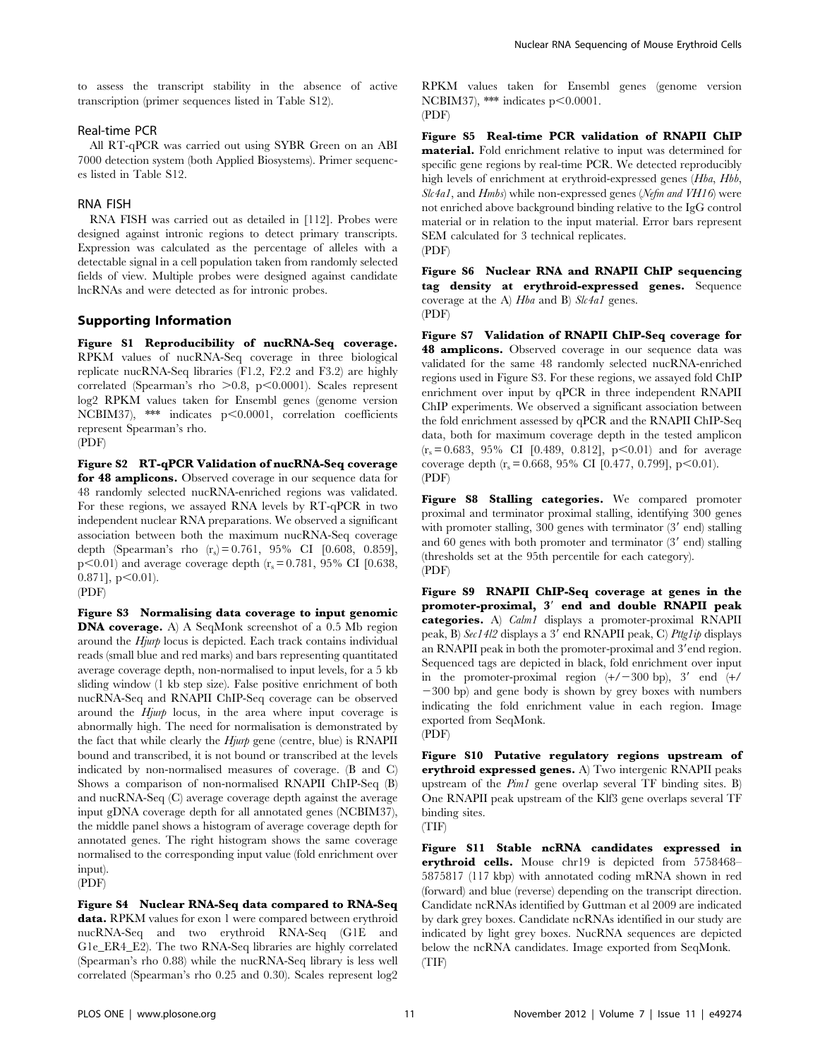to assess the transcript stability in the absence of active transcription (primer sequences listed in Table S12).

## Real-time PCR

All RT-qPCR was carried out using SYBR Green on an ABI 7000 detection system (both Applied Biosystems). Primer sequences listed in Table S12.

## RNA FISH

RNA FISH was carried out as detailed in [112]. Probes were designed against intronic regions to detect primary transcripts. Expression was calculated as the percentage of alleles with a detectable signal in a cell population taken from randomly selected fields of view. Multiple probes were designed against candidate lncRNAs and were detected as for intronic probes.

## Supporting Information

Figure S1 Reproducibility of nucRNA-Seq coverage. RPKM values of nucRNA-Seq coverage in three biological replicate nucRNA-Seq libraries (F1.2, F2.2 and F3.2) are highly correlated (Spearman's rho  $>0.8$ , p $<0.0001$ ). Scales represent log2 RPKM values taken for Ensembl genes (genome version NCBIM37), \*\*\* indicates  $p < 0.0001$ , correlation coefficients represent Spearman's rho. (PDF)

Figure S2 RT-qPCR Validation of nucRNA-Seq coverage for 48 amplicons. Observed coverage in our sequence data for 48 randomly selected nucRNA-enriched regions was validated. For these regions, we assayed RNA levels by RT-qPCR in two independent nuclear RNA preparations. We observed a significant association between both the maximum nucRNA-Seq coverage depth (Spearman's rho  $(r_s) = 0.761$ , 95% CI [0.608, 0.859],  $p$ <0.01) and average coverage depth (r<sub>s</sub>= 0.781, 95% CI [0.638,  $0.871$ ],  $p<0.01$ ).

(PDF)

Figure S3 Normalising data coverage to input genomic DNA coverage. A) A SeqMonk screenshot of a 0.5 Mb region around the Hjurp locus is depicted. Each track contains individual reads (small blue and red marks) and bars representing quantitated average coverage depth, non-normalised to input levels, for a 5 kb sliding window (1 kb step size). False positive enrichment of both nucRNA-Seq and RNAPII ChIP-Seq coverage can be observed around the Hjurp locus, in the area where input coverage is abnormally high. The need for normalisation is demonstrated by the fact that while clearly the  $H_j$ urp gene (centre, blue) is RNAPII bound and transcribed, it is not bound or transcribed at the levels indicated by non-normalised measures of coverage. (B and C) Shows a comparison of non-normalised RNAPII ChIP-Seq (B) and nucRNA-Seq (C) average coverage depth against the average input gDNA coverage depth for all annotated genes (NCBIM37), the middle panel shows a histogram of average coverage depth for annotated genes. The right histogram shows the same coverage normalised to the corresponding input value (fold enrichment over input). (PDF)

Figure S4 Nuclear RNA-Seq data compared to RNA-Seq data. RPKM values for exon 1 were compared between erythroid nucRNA-Seq and two erythroid RNA-Seq (G1E and G1e\_ER4\_E2). The two RNA-Seq libraries are highly correlated (Spearman's rho 0.88) while the nucRNA-Seq library is less well correlated (Spearman's rho 0.25 and 0.30). Scales represent log2 RPKM values taken for Ensembl genes (genome version NCBIM37), \*\*\* indicates  $p < 0.0001$ . (PDF)

Figure S5 Real-time PCR validation of RNAPII ChIP material. Fold enrichment relative to input was determined for specific gene regions by real-time PCR. We detected reproducibly high levels of enrichment at erythroid-expressed genes (Hba, Hbb, Slc4a1, and Hmbs) while non-expressed genes (Nefm and VH16) were not enriched above background binding relative to the IgG control material or in relation to the input material. Error bars represent SEM calculated for 3 technical replicates. (PDF)

Figure S6 Nuclear RNA and RNAPII ChIP sequencing tag density at erythroid-expressed genes. Sequence coverage at the A) Hba and B) Slc4a1 genes. (PDF)

Figure S7 Validation of RNAPII ChIP-Seq coverage for 48 amplicons. Observed coverage in our sequence data was validated for the same 48 randomly selected nucRNA-enriched regions used in Figure S3. For these regions, we assayed fold ChIP enrichment over input by qPCR in three independent RNAPII ChIP experiments. We observed a significant association between the fold enrichment assessed by qPCR and the RNAPII ChIP-Seq data, both for maximum coverage depth in the tested amplicon  $(r_s = 0.683, 95\% \text{ CI} [0.489, 0.812], p<0.01)$  and for average coverage depth  $(r_s = 0.668, 95\% \text{ CI} [0.477, 0.799], p<0.01)$ . (PDF)

Figure S8 Stalling categories. We compared promoter proximal and terminator proximal stalling, identifying 300 genes with promoter stalling, 300 genes with terminator  $(3'$  end) stalling and 60 genes with both promoter and terminator  $(3'$  end) stalling (thresholds set at the 95th percentile for each category). (PDF)

Figure S9 RNAPII ChIP-Seq coverage at genes in the promoter-proximal, 3' end and double RNAPII peak categories. A) Calm1 displays a promoter-proximal RNAPII peak, B) Sec14l2 displays a 3' end RNAPII peak, C) Pttg1ip displays an RNAPII peak in both the promoter-proximal and 3'end region. Sequenced tags are depicted in black, fold enrichment over input in the promoter-proximal region  $(+/-300$  bp), 3' end  $(+/$  $-300$  bp) and gene body is shown by grey boxes with numbers indicating the fold enrichment value in each region. Image exported from SeqMonk.

Figure S10 Putative regulatory regions upstream of erythroid expressed genes. A) Two intergenic RNAPII peaks upstream of the  $Pim1$  gene overlap several TF binding sites. B) One RNAPII peak upstream of the Klf3 gene overlaps several TF binding sites.

(TIF)

Figure S11 Stable ncRNA candidates expressed in erythroid cells. Mouse chr19 is depicted from 5758468– 5875817 (117 kbp) with annotated coding mRNA shown in red (forward) and blue (reverse) depending on the transcript direction. Candidate ncRNAs identified by Guttman et al 2009 are indicated by dark grey boxes. Candidate ncRNAs identified in our study are indicated by light grey boxes. NucRNA sequences are depicted below the ncRNA candidates. Image exported from SeqMonk. (TIF)

<sup>(</sup>PDF)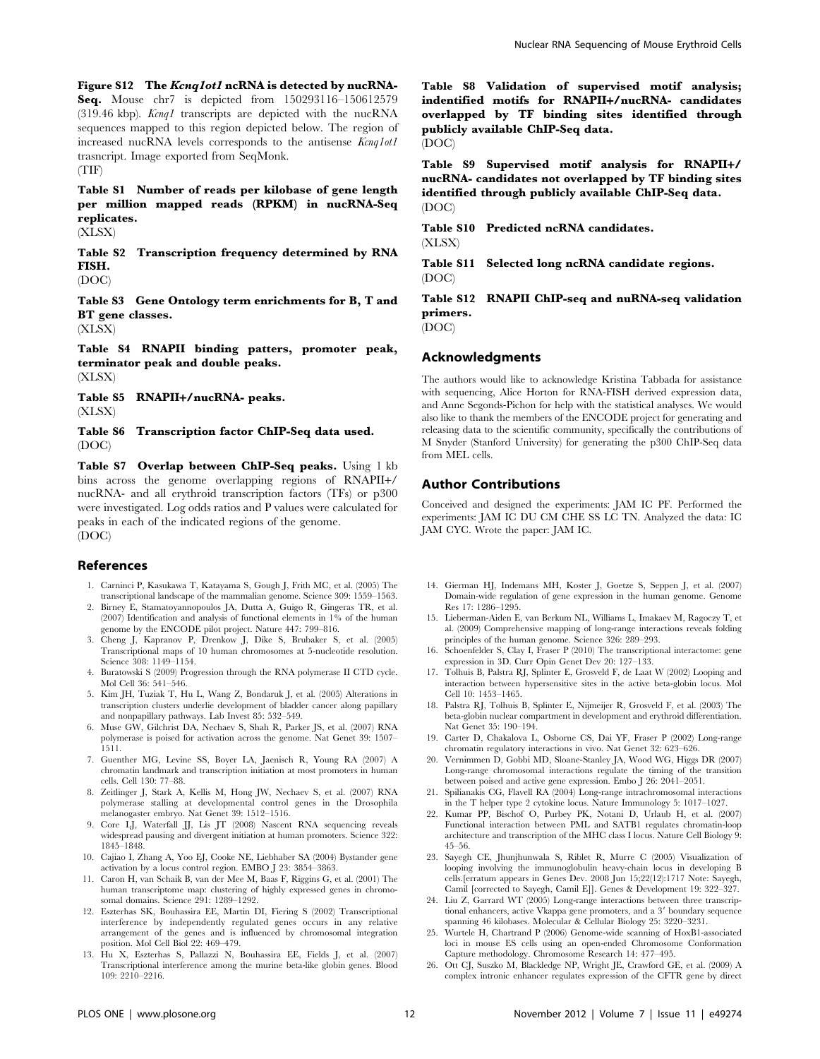Figure S12 The Kcnq1ot1 ncRNA is detected by nucRNA-Seq. Mouse chr7 is depicted from 150293116–150612579 (319.46 kbp).  $Kcnq1$  transcripts are depicted with the nucRNA sequences mapped to this region depicted below. The region of increased nucRNA levels corresponds to the antisense Kcnq1ot1 trasncript. Image exported from SeqMonk. (TIF)

Table S1 Number of reads per kilobase of gene length per million mapped reads (RPKM) in nucRNA-Seq replicates.

(XLSX)

Table S2 Transcription frequency determined by RNA FISH.

(DOC)

Table S3 Gene Ontology term enrichments for B, T and BT gene classes. (XLSX)

Table S4 RNAPII binding patters, promoter peak,

terminator peak and double peaks. (XLSX)

Table S5 RNAPII+/nucRNA- peaks. (XLSX)

Table S6 Transcription factor ChIP-Seq data used. (DOC)

Table S7 Overlap between ChIP-Seq peaks. Using 1 kb bins across the genome overlapping regions of RNAPII+/ nucRNA- and all erythroid transcription factors (TFs) or p300 were investigated. Log odds ratios and P values were calculated for peaks in each of the indicated regions of the genome. (DOC)

## References

- 1. Carninci P, Kasukawa T, Katayama S, Gough J, Frith MC, et al. (2005) The transcriptional landscape of the mammalian genome. Science 309: 1559–1563.
- 2. Birney E, Stamatoyannopoulos JA, Dutta A, Guigo R, Gingeras TR, et al.  $(2007)$  Identification and analysis of functional elements in 1% of the human genome by the ENCODE pilot project. Nature 447: 799–816.
- 3. Cheng J, Kapranov P, Drenkow J, Dike S, Brubaker S, et al. (2005) Transcriptional maps of 10 human chromosomes at 5-nucleotide resolution. Science 308: 1149–1154.
- 4. Buratowski S (2009) Progression through the RNA polymerase II CTD cycle. Mol Cell 36: 541–546.
- 5. Kim JH, Tuziak T, Hu L, Wang Z, Bondaruk J, et al. (2005) Alterations in transcription clusters underlie development of bladder cancer along papillary and nonpapillary pathways. Lab Invest 85: 532–549.
- 6. Muse GW, Gilchrist DA, Nechaev S, Shah R, Parker JS, et al. (2007) RNA polymerase is poised for activation across the genome. Nat Genet 39: 1507– 1511.
- 7. Guenther MG, Levine SS, Boyer LA, Jaenisch R, Young RA (2007) A chromatin landmark and transcription initiation at most promoters in human cells. Cell 130: 77–88.
- 8. Zeitlinger J, Stark A, Kellis M, Hong JW, Nechaev S, et al. (2007) RNA polymerase stalling at developmental control genes in the Drosophila melanogaster embryo. Nat Genet 39: 1512–1516.
- 9. Core LJ, Waterfall JJ, Lis JT (2008) Nascent RNA sequencing reveals widespread pausing and divergent initiation at human promoters. Science 322: 1845–1848.
- 10. Cajiao I, Zhang A, Yoo EJ, Cooke NE, Liebhaber SA (2004) Bystander gene activation by a locus control region. EMBO J 23: 3854–3863.
- 11. Caron H, van Schaik B, van der Mee M, Baas F, Riggins G, et al. (2001) The human transcriptome map: clustering of highly expressed genes in chromosomal domains. Science 291: 1289–1292.
- 12. Eszterhas SK, Bouhassira EE, Martin DI, Fiering S (2002) Transcriptional interference by independently regulated genes occurs in any relative arrangement of the genes and is influenced by chromosomal integration position. Mol Cell Biol 22: 469–479.
- 13. Hu X, Eszterhas S, Pallazzi N, Bouhassira EE, Fields J, et al. (2007) Transcriptional interference among the murine beta-like globin genes. Blood 109: 2210–2216.

Table S8 Validation of supervised motif analysis; indentified motifs for RNAPII+/nucRNA- candidates overlapped by TF binding sites identified through publicly available ChIP-Seq data. (DOC)

Table S9 Supervised motif analysis for RNAPII+/ nucRNA- candidates not overlapped by TF binding sites identified through publicly available ChIP-Seq data. (DOC)

Table S10 Predicted ncRNA candidates. (XLSX)

Table S11 Selected long ncRNA candidate regions. (DOC)

Table S12 RNAPII ChIP-seq and nuRNA-seq validation primers.

(DOC)

## Acknowledgments

The authors would like to acknowledge Kristina Tabbada for assistance with sequencing, Alice Horton for RNA-FISH derived expression data, and Anne Segonds-Pichon for help with the statistical analyses. We would also like to thank the members of the ENCODE project for generating and releasing data to the scientific community, specifically the contributions of M Snyder (Stanford University) for generating the p300 ChIP-Seq data from MEL cells.

## Author Contributions

Conceived and designed the experiments: JAM IC PF. Performed the experiments: JAM IC DU CM CHE SS LC TN. Analyzed the data: IC JAM CYC. Wrote the paper: JAM IC.

- 14. Gierman HJ, Indemans MH, Koster J, Goetze S, Seppen J, et al. (2007) Domain-wide regulation of gene expression in the human genome. Genome Res 17: 1286–1295.
- 15. Lieberman-Aiden E, van Berkum NL, Williams L, Imakaev M, Ragoczy T, et al. (2009) Comprehensive mapping of long-range interactions reveals folding principles of the human genome. Science 326: 289–293.
- 16. Schoenfelder S, Clay I, Fraser P (2010) The transcriptional interactome: gene expression in 3D. Curr Opin Genet Dev 20: 127–133.
- 17. Tolhuis B, Palstra RJ, Splinter E, Grosveld F, de Laat W (2002) Looping and interaction between hypersensitive sites in the active beta-globin locus. Mol Cell 10: 1453–1465.
- 18. Palstra RJ, Tolhuis B, Splinter E, Nijmeijer R, Grosveld F, et al. (2003) The beta-globin nuclear compartment in development and erythroid differentiation. Nat Genet 35: 190–194.
- 19. Carter D, Chakalova L, Osborne CS, Dai YF, Fraser P (2002) Long-range chromatin regulatory interactions in vivo. Nat Genet 32: 623–626.
- 20. Vernimmen D, Gobbi MD, Sloane-Stanley JA, Wood WG, Higgs DR (2007) Long-range chromosomal interactions regulate the timing of the transition between poised and active gene expression. Embo J 26: 2041–2051.
- 21. Spilianakis CG, Flavell RA (2004) Long-range intrachromosomal interactions in the T helper type 2 cytokine locus. Nature Immunology 5: 1017–1027.
- 22. Kumar PP, Bischof O, Purbey PK, Notani D, Urlaub H, et al. (2007) Functional interaction between PML and SATB1 regulates chromatin-loop architecture and transcription of the MHC class I locus. Nature Cell Biology 9: 45–56.
- 23. Sayegh CE, Jhunjhunwala S, Riblet R, Murre C (2005) Visualization of looping involving the immunoglobulin heavy-chain locus in developing B cells.[erratum appears in Genes Dev. 2008 Jun 15;22(12):1717 Note: Sayegh, Camil [corrected to Sayegh, Camil E]]. Genes & Development 19: 322–327.
- 24. Liu Z, Garrard WT (2005) Long-range interactions between three transcriptional enhancers, active Vkappa gene promoters, and a 3' boundary sequence<br>spanning 46 kilobases. Molecular & Cellular Biology 25: 3220–3231.
- 25. Wurtele H, Chartrand P (2006) Genome-wide scanning of HoxB1-associated loci in mouse ES cells using an open-ended Chromosome Conformation Capture methodology. Chromosome Research 14: 477–495.
- 26. Ott CJ, Suszko M, Blackledge NP, Wright JE, Crawford GE, et al. (2009) A complex intronic enhancer regulates expression of the CFTR gene by direct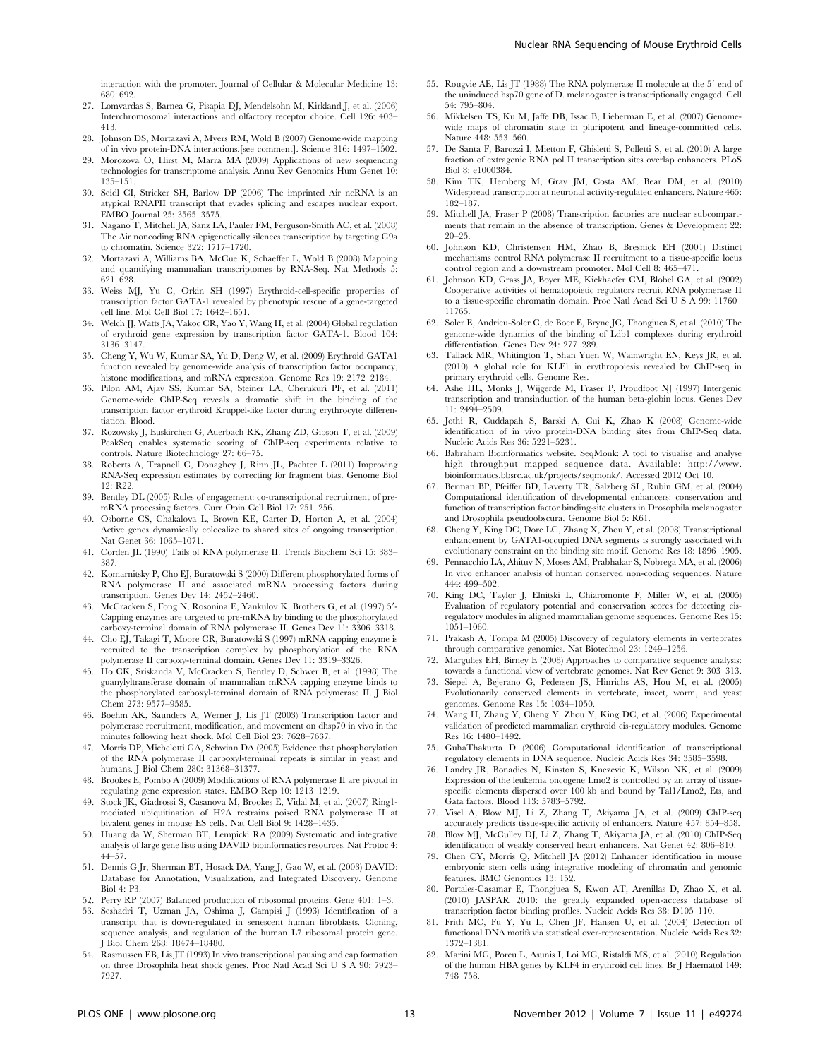interaction with the promoter. Journal of Cellular & Molecular Medicine 13: 680–692.

- 27. Lomvardas S, Barnea G, Pisapia DJ, Mendelsohn M, Kirkland J, et al. (2006) Interchromosomal interactions and olfactory receptor choice. Cell 126: 403– 413.
- 28. Johnson DS, Mortazavi A, Myers RM, Wold B (2007) Genome-wide mapping of in vivo protein-DNA interactions.[see comment]. Science 316: 1497–1502.
- 29. Morozova O, Hirst M, Marra MA (2009) Applications of new sequencing technologies for transcriptome analysis. Annu Rev Genomics Hum Genet 10: 135–151.
- 30. Seidl CI, Stricker SH, Barlow DP (2006) The imprinted Air ncRNA is an atypical RNAPII transcript that evades splicing and escapes nuclear export. EMBO Journal 25: 3565–3575.
- 31. Nagano T, Mitchell JA, Sanz LA, Pauler FM, Ferguson-Smith AC, et al. (2008) The Air noncoding RNA epigenetically silences transcription by targeting G9a to chromatin. Science 322: 1717–1720.
- 32. Mortazavi A, Williams BA, McCue K, Schaeffer L, Wold B (2008) Mapping and quantifying mammalian transcriptomes by RNA-Seq. Nat Methods 5: 621–628.
- 33. Weiss MJ, Yu C, Orkin SH (1997) Erythroid-cell-specific properties of transcription factor GATA-1 revealed by phenotypic rescue of a gene-targeted cell line. Mol Cell Biol 17: 1642–1651.
- 34. Welch JJ, Watts JA, Vakoc CR, Yao Y, Wang H, et al. (2004) Global regulation of erythroid gene expression by transcription factor GATA-1. Blood 104: 3136–3147.
- 35. Cheng Y, Wu W, Kumar SA, Yu D, Deng W, et al. (2009) Erythroid GATA1 function revealed by genome-wide analysis of transcription factor occupancy, histone modifications, and mRNA expression. Genome Res 19: 2172–2184.
- 36. Pilon AM, Ajay SS, Kumar SA, Steiner LA, Cherukuri PF, et al. (2011) Genome-wide ChIP-Seq reveals a dramatic shift in the binding of the transcription factor erythroid Kruppel-like factor during erythrocyte differentiation. Blood.
- 37. Rozowsky J, Euskirchen G, Auerbach RK, Zhang ZD, Gibson T, et al. (2009) PeakSeq enables systematic scoring of ChIP-seq experiments relative to controls. Nature Biotechnology 27: 66–75.
- 38. Roberts A, Trapnell C, Donaghey J, Rinn JL, Pachter L (2011) Improving RNA-Seq expression estimates by correcting for fragment bias. Genome Biol 12: R22.
- 39. Bentley DL (2005) Rules of engagement: co-transcriptional recruitment of premRNA processing factors. Curr Opin Cell Biol 17: 251–256.
- 40. Osborne CS, Chakalova L, Brown KE, Carter D, Horton A, et al. (2004) Active genes dynamically colocalize to shared sites of ongoing transcription. Nat Genet 36: 1065–1071.
- 41. Corden JL (1990) Tails of RNA polymerase II. Trends Biochem Sci 15: 383– 387.
- 42. Komarnitsky P, Cho EJ, Buratowski S (2000) Different phosphorylated forms of RNA polymerase II and associated mRNA processing factors during transcription. Genes Dev 14: 2452–2460.
- McCracken S, Fong N, Rosonina E, Yankulov K, Brothers G, et al. (1997) 5'-Capping enzymes are targeted to pre-mRNA by binding to the phosphorylated carboxy-terminal domain of RNA polymerase II. Genes Dev 11: 3306–3318.
- 44. Cho EJ, Takagi T, Moore CR, Buratowski S (1997) mRNA capping enzyme is recruited to the transcription complex by phosphorylation of the RNA polymerase II carboxy-terminal domain. Genes Dev 11: 3319–3326.
- 45. Ho CK, Sriskanda V, McCracken S, Bentley D, Schwer B, et al. (1998) The guanylyltransferase domain of mammalian mRNA capping enzyme binds to the phosphorylated carboxyl-terminal domain of RNA polymerase II. J Biol Chem 273: 9577–9585.
- 46. Boehm AK, Saunders A, Werner J, Lis JT (2003) Transcription factor and polymerase recruitment, modification, and movement on dhsp70 in vivo in the minutes following heat shock. Mol Cell Biol 23: 7628–7637.
- 47. Morris DP, Michelotti GA, Schwinn DA (2005) Evidence that phosphorylation of the RNA polymerase II carboxyl-terminal repeats is similar in yeast and humans. J Biol Chem 280: 31368–31377.
- 48. Brookes E, Pombo A (2009) Modifications of RNA polymerase II are pivotal in regulating gene expression states. EMBO Rep 10: 1213–1219.
- 49. Stock JK, Giadrossi S, Casanova M, Brookes E, Vidal M, et al. (2007) Ring1 mediated ubiquitination of H2A restrains poised RNA polymerase II at bivalent genes in mouse ES cells. Nat Cell Biol 9: 1428–1435.
- 50. Huang da W, Sherman BT, Lempicki RA (2009) Systematic and integrative analysis of large gene lists using DAVID bioinformatics resources. Nat Protoc 4: 44–57.
- 51. Dennis G Jr, Sherman BT, Hosack DA, Yang J, Gao W, et al. (2003) DAVID: Database for Annotation, Visualization, and Integrated Discovery. Genome Biol 4: P3.
- 52. Perry RP (2007) Balanced production of ribosomal proteins. Gene 401: 1–3.
- 53. Seshadri T, Uzman JA, Oshima J, Campisi J (1993) Identification of a transcript that is down-regulated in senescent human fibroblasts. Cloning, sequence analysis, and regulation of the human L7 ribosomal protein gene. J Biol Chem 268: 18474–18480.
- 54. Rasmussen EB, Lis JT (1993) In vivo transcriptional pausing and cap formation on three Drosophila heat shock genes. Proc Natl Acad Sci U S A 90: 7923– 7927.
- 55. Rougvie AE, Lis JT (1988) The RNA polymerase II molecule at the  $5'$  end of the uninduced hsp70 gene of D. melanogaster is transcriptionally engaged. Cell 54: 795–804.
- 56. Mikkelsen TS, Ku M, Jaffe DB, Issac B, Lieberman E, et al. (2007) Genomewide maps of chromatin state in pluripotent and lineage-committed cells. Nature 448: 553–560.
- 57. De Santa F, Barozzi I, Mietton F, Ghisletti S, Polletti S, et al. (2010) A large fraction of extragenic RNA pol II transcription sites overlap enhancers. PLoS Biol 8: e1000384.
- 58. Kim TK, Hemberg M, Gray JM, Costa AM, Bear DM, et al. (2010) Widespread transcription at neuronal activity-regulated enhancers. Nature 465: 182–187.
- 59. Mitchell JA, Fraser P (2008) Transcription factories are nuclear subcompartments that remain in the absence of transcription. Genes & Development 22: 20–25.
- 60. Johnson KD, Christensen HM, Zhao B, Bresnick EH (2001) Distinct mechanisms control RNA polymerase II recruitment to a tissue-specific locus control region and a downstream promoter. Mol Cell 8: 465–471.
- 61. Johnson KD, Grass JA, Boyer ME, Kiekhaefer CM, Blobel GA, et al. (2002) Cooperative activities of hematopoietic regulators recruit RNA polymerase II to a tissue-specific chromatin domain. Proc Natl Acad Sci U S A 99: 11760– 11765.
- 62. Soler E, Andrieu-Soler C, de Boer E, Bryne JC, Thongjuea S, et al. (2010) The genome-wide dynamics of the binding of Ldb1 complexes during erythroid differentiation. Genes Dev 24: 277–289.
- 63. Tallack MR, Whitington T, Shan Yuen W, Wainwright EN, Keys JR, et al. (2010) A global role for KLF1 in erythropoiesis revealed by ChIP-seq in primary erythroid cells. Genome Res.
- 64. Ashe HL, Monks J, Wijgerde M, Fraser P, Proudfoot NJ (1997) Intergenic transcription and transinduction of the human beta-globin locus. Genes Dev 11: 2494–2509.
- 65. Jothi R, Cuddapah S, Barski A, Cui K, Zhao K (2008) Genome-wide identification of in vivo protein-DNA binding sites from ChIP-Seq data. Nucleic Acids Res 36: 5221–5231.
- 66. Babraham Bioinformatics website. SeqMonk: A tool to visualise and analyse high throughput mapped sequence data. Available: http://www. bioinformatics.bbsrc.ac.uk/projects/seqmonk/. Accessed 2012 Oct 10.
- 67. Berman BP, Pfeiffer BD, Laverty TR, Salzberg SL, Rubin GM, et al. (2004) Computational identification of developmental enhancers: conservation and function of transcription factor binding-site clusters in Drosophila melanogaster and Drosophila pseudoobscura. Genome Biol 5: R61.
- 68. Cheng Y, King DC, Dore LC, Zhang X, Zhou Y, et al. (2008) Transcriptional enhancement by GATA1-occupied DNA segments is strongly associated with evolutionary constraint on the binding site motif. Genome Res 18: 1896–1905.
- 69. Pennacchio LA, Ahituv N, Moses AM, Prabhakar S, Nobrega MA, et al. (2006) In vivo enhancer analysis of human conserved non-coding sequences. Nature 444: 499–502.
- 70. King DC, Taylor J, Elnitski L, Chiaromonte F, Miller W, et al. (2005) Evaluation of regulatory potential and conservation scores for detecting cisregulatory modules in aligned mammalian genome sequences. Genome Res 15: 1051–1060.
- 71. Prakash A, Tompa M (2005) Discovery of regulatory elements in vertebrates through comparative genomics. Nat Biotechnol 23: 1249–1256.
- 72. Margulies EH, Birney E (2008) Approaches to comparative sequence analysis: towards a functional view of vertebrate genomes. Nat Rev Genet 9: 303–313.
- 73. Siepel A, Bejerano G, Pedersen JS, Hinrichs AS, Hou M, et al. (2005) Evolutionarily conserved elements in vertebrate, insect, worm, and yeast genomes. Genome Res 15: 1034–1050.
- 74. Wang H, Zhang Y, Cheng Y, Zhou Y, King DC, et al. (2006) Experimental validation of predicted mammalian erythroid cis-regulatory modules. Genome Res 16: 1480–1492.
- 75. GuhaThakurta D (2006) Computational identification of transcriptional regulatory elements in DNA sequence. Nucleic Acids Res 34: 3585–3598.
- 76. Landry JR, Bonadies N, Kinston S, Knezevic K, Wilson NK, et al. (2009) Expression of the leukemia oncogene Lmo2 is controlled by an array of tissuespecific elements dispersed over 100 kb and bound by Tal1/Lmo2, Ets, and Gata factors. Blood 113: 5783–5792.
- 77. Visel A, Blow MJ, Li Z, Zhang T, Akiyama JA, et al. (2009) ChIP-seq accurately predicts tissue-specific activity of enhancers. Nature 457: 854–858.
- 78. Blow MJ, McCulley DJ, Li Z, Zhang T, Akiyama JA, et al. (2010) ChIP-Seq identification of weakly conserved heart enhancers. Nat Genet 42: 806–810.
- 79. Chen CY, Morris Q, Mitchell JA (2012) Enhancer identification in mouse embryonic stem cells using integrative modeling of chromatin and genomic features. BMC Genomics 13: 152.
- 80. Portales-Casamar E, Thongjuea S, Kwon AT, Arenillas D, Zhao X, et al. (2010) JASPAR 2010: the greatly expanded open-access database of transcription factor binding profiles. Nucleic Acids Res 38: D105–110.
- 81. Frith MC, Fu Y, Yu L, Chen JF, Hansen U, et al. (2004) Detection of functional DNA motifs via statistical over-representation. Nucleic Acids Res 32: 1372–1381.
- 82. Marini MG, Porcu L, Asunis I, Loi MG, Ristaldi MS, et al. (2010) Regulation of the human HBA genes by KLF4 in erythroid cell lines. Br J Haematol 149: 748–758.